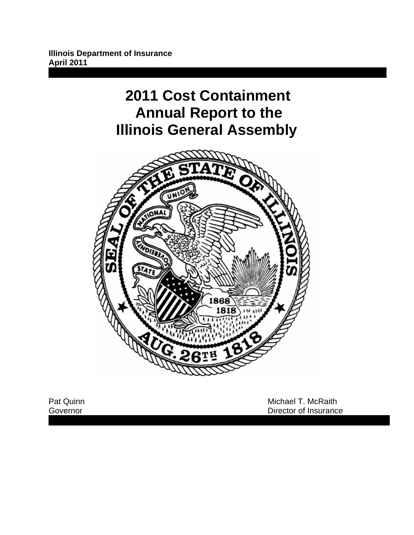# **2011 Cost Containment Annual Report to the Illinois General Assembly**



Pat Quinn **Pat Quinn 1999**<br>
Pat Quinn **Michael T. McRaith**<br>
Covernor **Director of Insurance** Director of Insurance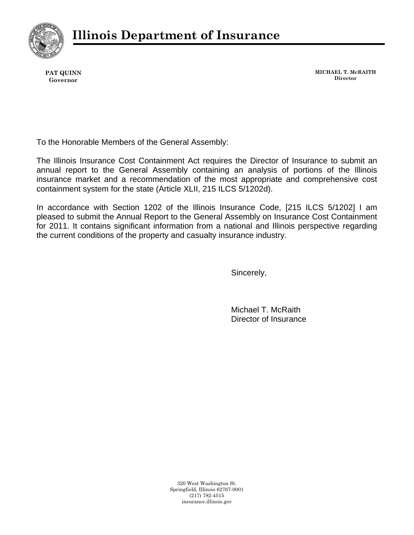

**PAT QUINN Governor** 

**MICHAEL T. McRAITH Director**

To the Honorable Members of the General Assembly:

The Illinois Insurance Cost Containment Act requires the Director of Insurance to submit an annual report to the General Assembly containing an analysis of portions of the Illinois insurance market and a recommendation of the most appropriate and comprehensive cost containment system for the state (Article XLII, 215 ILCS 5/1202d).

In accordance with Section 1202 of the Illinois Insurance Code, [215 ILCS 5/1202] I am pleased to submit the Annual Report to the General Assembly on Insurance Cost Containment for 2011. It contains significant information from a national and Illinois perspective regarding the current conditions of the property and casualty insurance industry.

Sincerely,

Michael T. McRaith Director of Insurance

320 West Washington St. Springfield, Illinois 62767-0001 (217) 782-4515 insurance.illinois.gov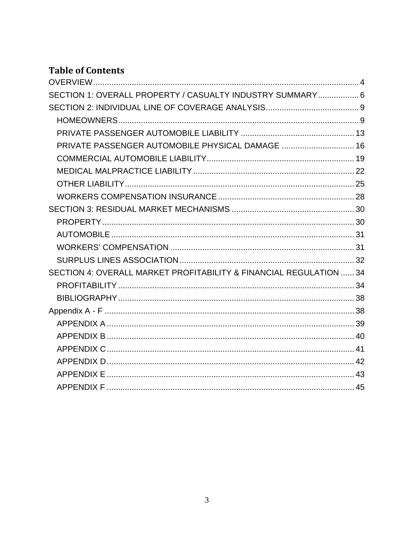# **Table of Contents**

| SECTION 1: OVERALL PROPERTY / CASUALTY INDUSTRY SUMMARY 6          |  |
|--------------------------------------------------------------------|--|
|                                                                    |  |
|                                                                    |  |
|                                                                    |  |
| PRIVATE PASSENGER AUTOMOBILE PHYSICAL DAMAGE  16                   |  |
|                                                                    |  |
|                                                                    |  |
|                                                                    |  |
|                                                                    |  |
|                                                                    |  |
|                                                                    |  |
|                                                                    |  |
|                                                                    |  |
|                                                                    |  |
| SECTION 4: OVERALL MARKET PROFITABILITY & FINANCIAL REGULATION  34 |  |
|                                                                    |  |
|                                                                    |  |
|                                                                    |  |
|                                                                    |  |
|                                                                    |  |
|                                                                    |  |
|                                                                    |  |
|                                                                    |  |
|                                                                    |  |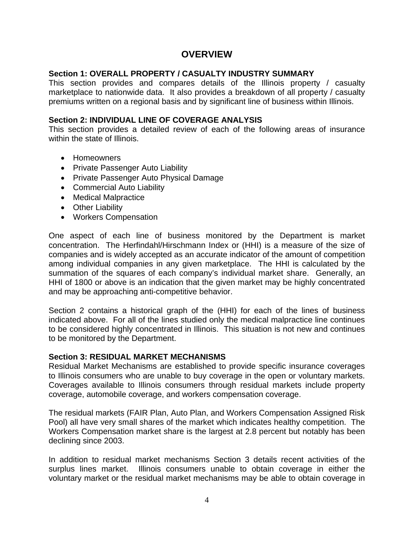## **OVERVIEW**

#### <span id="page-3-1"></span><span id="page-3-0"></span>**Section 1: OVERALL PROPERTY / CASUALTY INDUSTRY SUMMARY**

This section provides and compares details of the Illinois property / casualty marketplace to nationwide data. It also provides a breakdown of all property / casualty premiums written on a regional basis and by significant line of business within Illinois.

#### **Section 2: INDIVIDUAL LINE OF COVERAGE ANALYSIS**

This section provides a detailed review of each of the following areas of insurance within the state of Illinois.

- Homeowners
- Private Passenger Auto Liability
- Private Passenger Auto Physical Damage
- Commercial Auto Liability
- Medical Malpractice
- Other Liability
- Workers Compensation

One aspect of each line of business monitored by the Department is market concentration. The Herfindahl/Hirschmann Index or (HHI) is a measure of the size of companies and is widely accepted as an accurate indicator of the amount of competition among individual companies in any given marketplace. The HHI is calculated by the summation of the squares of each company's individual market share. Generally, an HHI of 1800 or above is an indication that the given market may be highly concentrated and may be approaching anti-competitive behavior.

Section 2 contains a historical graph of the (HHI) for each of the lines of business indicated above. For all of the lines studied only the medical malpractice line continues to be considered highly concentrated in Illinois. This situation is not new and continues to be monitored by the Department.

#### **Section 3: RESIDUAL MARKET MECHANISMS**

Residual Market Mechanisms are established to provide specific insurance coverages to Illinois consumers who are unable to buy coverage in the open or voluntary markets. Coverages available to Illinois consumers through residual markets include property coverage, automobile coverage, and workers compensation coverage.

The residual markets (FAIR Plan, Auto Plan, and Workers Compensation Assigned Risk Pool) all have very small shares of the market which indicates healthy competition. The Workers Compensation market share is the largest at 2.8 percent but notably has been declining since 2003.

In addition to residual market mechanisms Section 3 details recent activities of the surplus lines market. Illinois consumers unable to obtain coverage in either the voluntary market or the residual market mechanisms may be able to obtain coverage in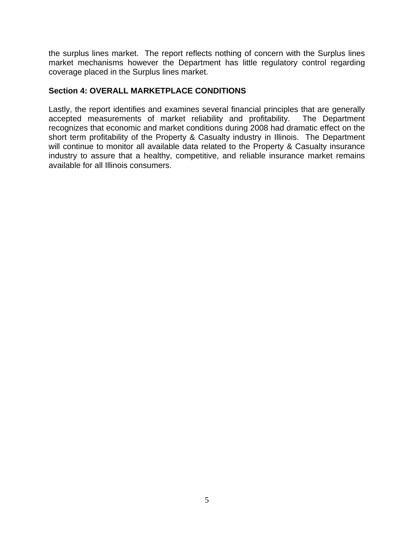the surplus lines market. The report reflects nothing of concern with the Surplus lines market mechanisms however the Department has little regulatory control regarding coverage placed in the Surplus lines market.

#### **Section 4: OVERALL MARKETPLACE CONDITIONS**

Lastly, the report identifies and examines several financial principles that are generally accepted measurements of market reliability and profitability. The Department recognizes that economic and market conditions during 2008 had dramatic effect on the short term profitability of the Property & Casualty industry in Illinois. The Department will continue to monitor all available data related to the Property & Casualty insurance industry to assure that a healthy, competitive, and reliable insurance market remains available for all Illinois consumers.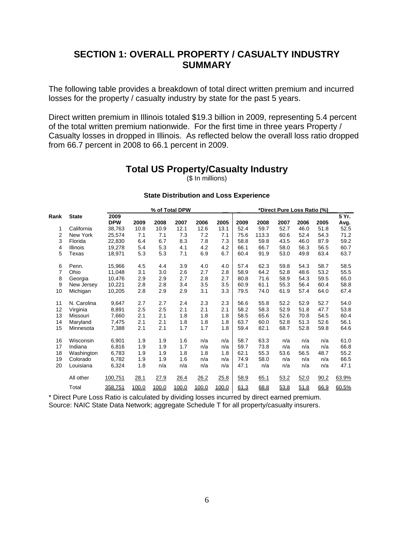# <span id="page-5-0"></span>**SECTION 1: OVERALL PROPERTY / CASUALTY INDUSTRY SUMMARY**

<span id="page-5-1"></span>The following table provides a breakdown of total direct written premium and incurred losses for the property / casualty industry by state for the past 5 years.

Direct written premium in Illinois totaled \$19.3 billion in 2009, representing 5.4 percent of the total written premium nationwide. For the first time in three years Property / Casualty losses in dropped in Illinois. As reflected below the overall loss ratio dropped from 66.7 percent in 2008 to 66.1 percent in 2009.

## **Total US Property/Casualty Industry**

(\$ In millions)

#### **State Distribution and Loss Experience**

|                |                 | % of Total DPW |       |       |       |       | *Direct Pure Loss Ratio (%) |      |       |      |      |      |       |
|----------------|-----------------|----------------|-------|-------|-------|-------|-----------------------------|------|-------|------|------|------|-------|
| Rank           | <b>State</b>    | 2009           |       |       |       |       |                             |      |       |      |      |      | 5 Yr. |
|                |                 | <b>DPW</b>     | 2009  | 2008  | 2007  | 2006  | 2005                        | 2009 | 2008  | 2007 | 2006 | 2005 | Avg.  |
| 1              | California      | 38,763         | 10.8  | 10.9  | 12.1  | 12.6  | 13.1                        | 52.4 | 59.7  | 52.7 | 46.0 | 51.8 | 52.5  |
| $\overline{2}$ | New York        | 25,574         | 7.1   | 7.1   | 7.3   | 7.2   | 7.1                         | 75.6 | 113.3 | 60.6 | 52.4 | 54.3 | 71.2  |
| 3              | Florida         | 22,830         | 6.4   | 6.7   | 8.3   | 7.8   | 7.3                         | 58.8 | 59.8  | 43.5 | 46.0 | 87.9 | 59.2  |
| 4              | <b>Illinois</b> | 19,278         | 5.4   | 5.3   | 4.1   | 4.2   | 4.2                         | 66.1 | 66.7  | 58.0 | 56.3 | 56.5 | 60.7  |
| 5              | Texas           | 18,971         | 5.3   | 5.3   | 7.1   | 6.9   | 6.7                         | 60.4 | 91.9  | 53.0 | 49.8 | 63.4 | 63.7  |
| 6              | Penn.           | 15,966         | 4.5   | 4.4   | 3.9   | 4.0   | 4.0                         | 57.4 | 62.3  | 59.8 | 54.3 | 58.7 | 58.5  |
| 7              | Ohio            | 11.048         | 3.1   | 3.0   | 2.6   | 2.7   | 2.8                         | 58.9 | 64.2  | 52.8 | 48.6 | 53.2 | 55.5  |
| 8              | Georgia         | 10,476         | 2.9   | 2.9   | 2.7   | 2.8   | 2.7                         | 80.8 | 71.6  | 58.9 | 54.3 | 59.5 | 65.0  |
| 9              | New Jersey      | 10.221         | 2.8   | 2.8   | 3.4   | 3.5   | 3.5                         | 60.9 | 61.1  | 55.3 | 56.4 | 60.4 | 58.8  |
| 10             | Michigan        | 10,205         | 2.8   | 2.9   | 2.9   | 3.1   | 3.3                         | 79.5 | 74.0  | 61.9 | 57.4 | 64.0 | 67.4  |
| 11             | N. Carolina     | 9,647          | 2.7   | 2.7   | 2.4   | 2.3   | 2.3                         | 56.6 | 55.8  | 52.2 | 52.9 | 52.7 | 54.0  |
| 12             | Virginia        | 8,891          | 2.5   | 2.5   | 2.1   | 2.1   | 2.1                         | 58.2 | 58.3  | 52.9 | 51.8 | 47.7 | 53.8  |
| 13             | Missouri        | 7,660          | 2.1   | 2.1   | 1.8   | 1.8   | 1.8                         | 58.5 | 65.6  | 52.6 | 70.8 | 54.5 | 60.4  |
| 14             | Maryland        | 7,475          | 2.1   | 2.1   | 1.8   | 1.8   | 1.8                         | 63.7 | 60.0  | 52.8 | 51.3 | 52.6 | 56.1  |
| 15             | Minnesota       | 7,388          | 2.1   | 2.1   | 1.7   | 1.7   | 1.8                         | 59.4 | 82.1  | 68.7 | 52.8 | 59.8 | 64.6  |
| 16             | Wisconsin       | 6,901          | 1.9   | 1.9   | 1.6   | n/a   | n/a                         | 58.7 | 63.3  | n/a  | n/a  | n/a  | 61.0  |
| 17             | Indiana         | 6,816          | 1.9   | 1.9   | 1.7   | n/a   | n/a                         | 59.7 | 73.8  | n/a  | n/a  | n/a  | 66.8  |
| 18             | Washington      | 6,783          | 1.9   | 1.9   | 1.8   | 1.8   | 1.8                         | 62.1 | 55.3  | 53.6 | 56.5 | 48.7 | 55.2  |
| 19             | Colorado        | 6,782          | 1.9   | 1.9   | 1.6   | n/a   | n/a                         | 74.9 | 58.0  | n/a  | n/a  | n/a  | 66.5  |
| 20             | Louisiana       | 6,324          | 1.8   | n/a   | n/a   | n/a   | n/a                         | 47.1 | n/a   | n/a  | n/a  | n/a  | 47.1  |
|                | All other       | 100,751        | 28.1  | 27.9  | 26.4  | 26.2  | 25.8                        | 58.9 | 65.1  | 53.2 | 52.0 | 90.2 | 63.9% |
|                | Total           | 358,751        | 100.0 | 100.0 | 100.0 | 100.0 | 100.0                       | 61.3 | 68.8  | 53.8 | 51.8 | 66.9 | 60.5% |

\* Direct Pure Loss Ratio is calculated by dividing losses incurred by direct earned premium. Source: NAIC State Data Network; aggregate Schedule T for all property/casualty insurers.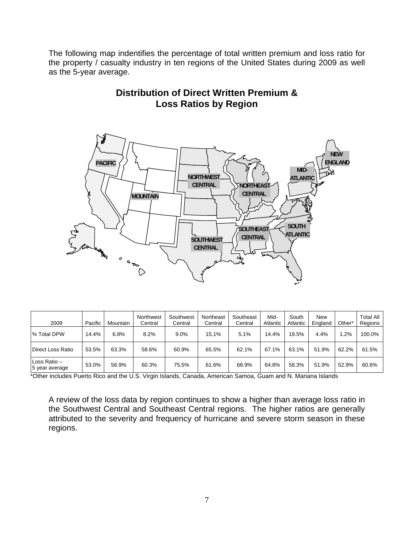The following map indentifies the percentage of total written premium and loss ratio for the property / casualty industry in ten regions of the United States during 2009 as well as the 5-year average.

# **Distribution of Direct Written Premium & Loss Ratios by Region**



| 2009                           | Pacific | Mountain | Northwest<br>Central | Southwest<br>Central | Northeast<br>Central | Southeast<br>Central | Mid-<br>Atlantic | South<br>Atlantic | New<br>England | Other <sup>*</sup> | <b>Total All</b><br>Regions |
|--------------------------------|---------|----------|----------------------|----------------------|----------------------|----------------------|------------------|-------------------|----------------|--------------------|-----------------------------|
| % Total DPW                    | 14.4%   | 6.8%     | 8.2%                 | 9.0%                 | 15.1%                | 5.1%                 | 14.4%            | 19.5%             | 4.4%           | .2%                | 100.0%                      |
| Direct Loss Ratio              | 53.5%   | 63.3%    | 58.6%                | 60.9%                | 65.5%                | 62.1%                | 67.1%            | 63.1%             | 51.9%          | 62.2%              | 61.5%                       |
| Loss Ratio -<br>5 year average | 53.0%   | 56.9%    | 60.3%                | 75.5%                | 61.6%                | 68.9%                | 64.8%            | 58.3%             | 51.9%          | 52.9%              | 60.6%                       |

\*Other includes Puerto Rico and the U.S. Virgin Islands, Canada, American Samoa, Guam and N. Mariana Islands

A review of the loss data by region continues to show a higher than average loss ratio in the Southwest Central and Southeast Central regions. The higher ratios are generally attributed to the severity and frequency of hurricane and severe storm season in these regions.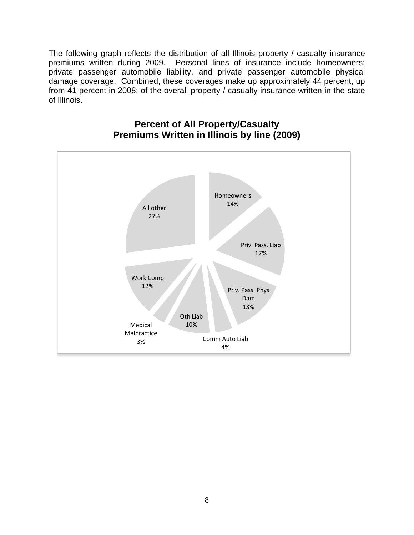The following graph reflects the distribution of all Illinois property / casualty insurance premiums written during 2009. Personal lines of insurance include homeowners; private passenger automobile liability, and private passenger automobile physical damage coverage. Combined, these coverages make up approximately 44 percent, up from 41 percent in 2008; of the overall property / casualty insurance written in the state of Illinois.



# **Percent of All Property/Casualty Premiums Written in Illinois by line (2009)**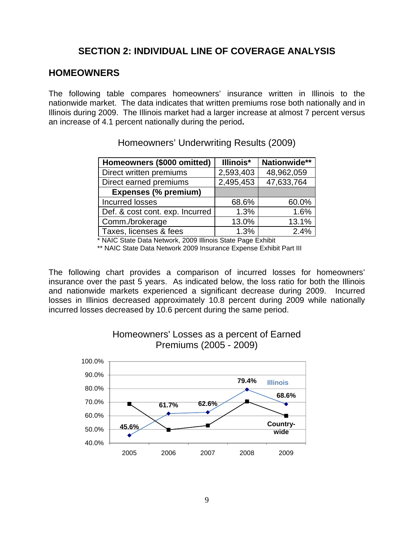# **SECTION 2: INDIVIDUAL LINE OF COVERAGE ANALYSIS**

## <span id="page-8-2"></span><span id="page-8-1"></span><span id="page-8-0"></span>**HOMEOWNERS**

The following table compares homeowners' insurance written in Illinois to the nationwide market. The data indicates that written premiums rose both nationally and in Illinois during 2009. The Illinois market had a larger increase at almost 7 percent versus an increase of 4.1 percent nationally during the period**.** 

| Homeowners (\$000 omitted)      | Illinois* | Nationwide** |
|---------------------------------|-----------|--------------|
| Direct written premiums         | 2,593,403 | 48,962,059   |
| Direct earned premiums          | 2,495,453 | 47,633,764   |
| <b>Expenses (% premium)</b>     |           |              |
| <b>Incurred losses</b>          | 68.6%     | 60.0%        |
| Def. & cost cont. exp. Incurred | 1.3%      | 1.6%         |
| Comm./brokerage                 | 13.0%     | 13.1%        |
| Taxes, licenses & fees          | 1.3%      | 2.4%         |

Homeowners' Underwriting Results (2009)

\* NAIC State Data Network, 2009 Illinois State Page Exhibit

\*\* NAIC State Data Network 2009 Insurance Expense Exhibit Part III

The following chart provides a comparison of incurred losses for homeowners' insurance over the past 5 years. As indicated below, the loss ratio for both the Illinois and nationwide markets experienced a significant decrease during 2009. Incurred losses in Illinios decreased approximately 10.8 percent during 2009 while nationally incurred losses decreased by 10.6 percent during the same period.



## Homeowners' Losses as a percent of Earned Premiums (2005 - 2009)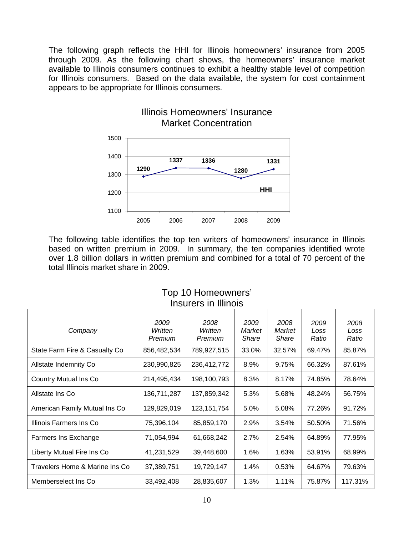The following graph reflects the HHI for Illinois homeowners' insurance from 2005 through 2009. As the following chart shows, the homeowners' insurance market available to Illinois consumers continues to exhibit a healthy stable level of competition for Illinois consumers. Based on the data available, the system for cost containment appears to be appropriate for Illinois consumers.

Illinois Homeowners' Insurance



#### The following table identifies the top ten writers of homeowners' insurance in Illinois based on written premium in 2009. In summary, the ten companies identified wrote over 1.8 billion dollars in written premium and combined for a total of 70 percent of the total Illinois market share in 2009.

|                                |                            | פוטו וווו דור פוסומפווו    |                         |                         |                       |                       |
|--------------------------------|----------------------------|----------------------------|-------------------------|-------------------------|-----------------------|-----------------------|
| Company                        | 2009<br>Written<br>Premium | 2008<br>Written<br>Premium | 2009<br>Market<br>Share | 2008<br>Market<br>Share | 2009<br>Loss<br>Ratio | 2008<br>Loss<br>Ratio |
| State Farm Fire & Casualty Co  | 856,482,534                | 789,927,515                | 33.0%                   | 32.57%                  | 69.47%                | 85.87%                |
| Allstate Indemnity Co          | 230,990,825                | 236,412,772                | 8.9%                    | 9.75%                   | 66.32%                | 87.61%                |
| <b>Country Mutual Ins Co</b>   | 214,495,434                | 198,100,793                | 8.3%                    | 8.17%                   | 74.85%                | 78.64%                |
| Allstate Ins Co                | 136,711,287                | 137,859,342                | 5.3%                    | 5.68%                   | 48.24%                | 56.75%                |
| American Family Mutual Ins Co  | 129,829,019                | 123, 151, 754              | 5.0%                    | 5.08%                   | 77.26%                | 91.72%                |
| Illinois Farmers Ins Co        | 75,396,104                 | 85,859,170                 | 2.9%                    | 3.54%                   | 50.50%                | 71.56%                |
| Farmers Ins Exchange           | 71,054,994                 | 61,668,242                 | 2.7%                    | 2.54%                   | 64.89%                | 77.95%                |
| Liberty Mutual Fire Ins Co     | 41,231,529                 | 39,448,600                 | 1.6%                    | 1.63%                   | 53.91%                | 68.99%                |
| Travelers Home & Marine Ins Co | 37,389,751                 | 19,729,147                 | 1.4%                    | 0.53%                   | 64.67%                | 79.63%                |
| Memberselect Ins Co.           | 33,492,408                 | 28,835,607                 | 1.3%                    | 1.11%                   | 75.87%                | 117.31%               |

#### Top 10 Homeowners' Insurars in Illinois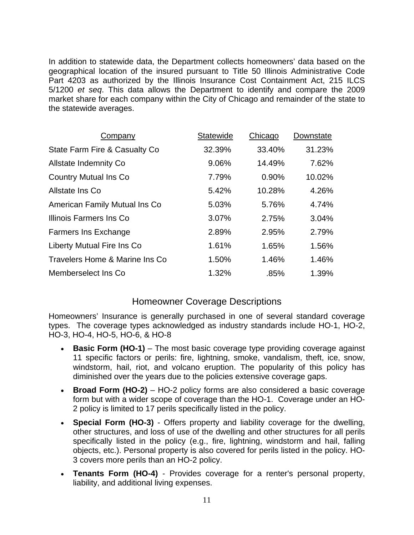In addition to statewide data, the Department collects homeowners' data based on the geographical location of the insured pursuant to Title 50 Illinois Administrative Code Part 4203 as authorized by the Illinois Insurance Cost Containment Act, 215 ILCS 5/1200 *et seq*. This data allows the Department to identify and compare the 2009 market share for each company within the City of Chicago and remainder of the state to the statewide averages.

| Company                        | <b>Statewide</b> | Chicago | Downstate |
|--------------------------------|------------------|---------|-----------|
| State Farm Fire & Casualty Co  | 32.39%           | 33.40%  | 31.23%    |
| <b>Allstate Indemnity Co</b>   | 9.06%            | 14.49%  | 7.62%     |
| <b>Country Mutual Ins Co.</b>  | 7.79%            | 0.90%   | 10.02%    |
| Allstate Ins Co                | 5.42%            | 10.28%  | 4.26%     |
| American Family Mutual Ins Co. | 5.03%            | 5.76%   | 4.74%     |
| Illinois Farmers Ins Co        | 3.07%            | 2.75%   | 3.04%     |
| <b>Farmers Ins Exchange</b>    | 2.89%            | 2.95%   | 2.79%     |
| Liberty Mutual Fire Ins Co     | 1.61%            | 1.65%   | 1.56%     |
| Travelers Home & Marine Ins Co | 1.50%            | 1.46%   | 1.46%     |
| Memberselect Ins Co.           | 1.32%            | .85%    | 1.39%     |

## Homeowner Coverage Descriptions

Homeowners' Insurance is generally purchased in one of several standard coverage types. The coverage types acknowledged as industry standards include HO-1, HO-2, HO-3, HO-4, HO-5, HO-6, & HO-8

- **Basic Form (HO-1)** The most basic coverage type providing coverage against 11 specific factors or perils: fire, lightning, smoke, vandalism, theft, ice, snow, windstorm, hail, riot, and volcano eruption. The popularity of this policy has diminished over the years due to the policies extensive coverage gaps.
- **Broad Form (HO-2)** HO-2 policy forms are also considered a basic coverage form but with a wider scope of coverage than the HO-1. Coverage under an HO-2 policy is limited to 17 perils specifically listed in the policy.
- **Special Form (HO-3)** Offers property and liability coverage for the dwelling, other structures, and loss of use of the dwelling and other structures for all perils specifically listed in the policy (e.g., fire, lightning, windstorm and hail, falling objects, etc.). Personal property is also covered for perils listed in the policy. HO-3 covers more perils than an HO-2 policy.
- **Tenants Form (HO-4)** Provides coverage for a renter's personal property, liability, and additional living expenses.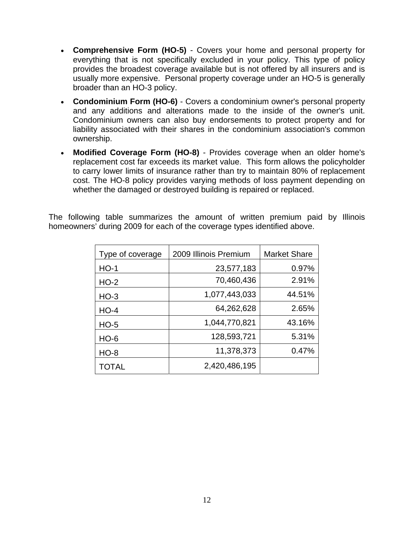- **Comprehensive Form (HO-5)** Covers your home and personal property for everything that is not specifically excluded in your policy. This type of policy provides the broadest coverage available but is not offered by all insurers and is usually more expensive. Personal property coverage under an HO-5 is generally broader than an HO-3 policy.
- **Condominium Form (HO-6)** Covers a condominium owner's personal property and any additions and alterations made to the inside of the owner's unit. Condominium owners can also buy endorsements to protect property and for liability associated with their shares in the condominium association's common ownership.
- **Modified Coverage Form (HO-8)** Provides coverage when an older home's replacement cost far exceeds its market value. This form allows the policyholder to carry lower limits of insurance rather than try to maintain 80% of replacement cost. The HO-8 policy provides varying methods of loss payment depending on whether the damaged or destroyed building is repaired or replaced.

The following table summarizes the amount of written premium paid by Illinois homeowners' during 2009 for each of the coverage types identified above.

| Type of coverage | 2009 Illinois Premium | <b>Market Share</b> |
|------------------|-----------------------|---------------------|
| $HO-1$           | 23,577,183            | 0.97%               |
| $HO-2$           | 70,460,436            | 2.91%               |
| $HO-3$           | 1,077,443,033         | 44.51%              |
| $HO-4$           | 64,262,628            | 2.65%               |
| $HO-5$           | 1,044,770,821         | 43.16%              |
| <b>HO-6</b>      | 128,593,721           | 5.31%               |
| <b>HO-8</b>      | 11,378,373            | 0.47%               |
| TOTAL            | 2,420,486,195         |                     |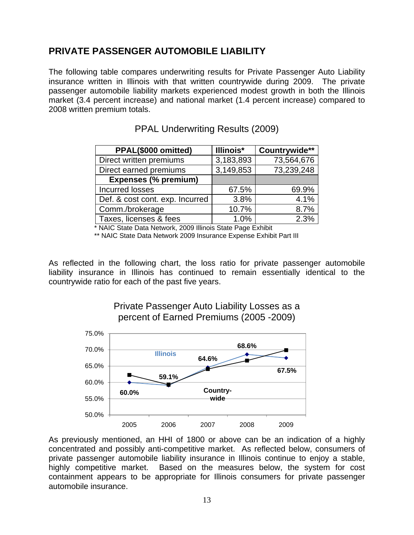# <span id="page-12-1"></span><span id="page-12-0"></span>**PRIVATE PASSENGER AUTOMOBILE LIABILITY**

The following table compares underwriting results for Private Passenger Auto Liability insurance written in Illinois with that written countrywide during 2009. The private passenger automobile liability markets experienced modest growth in both the Illinois market (3.4 percent increase) and national market (1.4 percent increase) compared to 2008 written premium totals.

| PPAL(\$000 omitted)             | Illinois* | Countrywide** |
|---------------------------------|-----------|---------------|
| Direct written premiums         | 3,183,893 | 73,564,676    |
| Direct earned premiums          | 3,149,853 | 73,239,248    |
| <b>Expenses (% premium)</b>     |           |               |
| <b>Incurred losses</b>          | 67.5%     | 69.9%         |
| Def. & cost cont. exp. Incurred | 3.8%      | 4.1%          |
| Comm./brokerage                 | 10.7%     | 8.7%          |
| Taxes, licenses & fees          | 1.0%      | 2.3%          |

PPAL Underwriting Results (2009)

\* NAIC State Data Network, 2009 Illinois State Page Exhibit

\*\* NAIC State Data Network 2009 Insurance Expense Exhibit Part III

As reflected in the following chart, the loss ratio for private passenger automobile liability insurance in Illinois has continued to remain essentially identical to the countrywide ratio for each of the past five years.





As previously mentioned, an HHI of 1800 or above can be an indication of a highly concentrated and possibly anti-competitive market. As reflected below, consumers of private passenger automobile liability insurance in Illinois continue to enjoy a stable, highly competitive market. Based on the measures below, the system for cost containment appears to be appropriate for Illinois consumers for private passenger automobile insurance.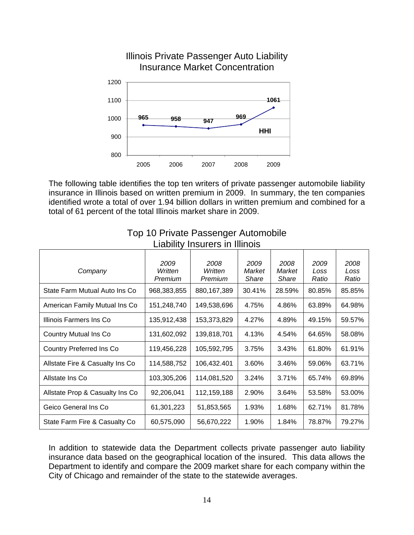

Illinois Private Passenger Auto Liability Insurance Market Concentration

The following table identifies the top ten writers of private passenger automobile liability insurance in Illinois based on written premium in 2009. In summary, the ten companies identified wrote a total of over 1.94 billion dollars in written premium and combined for a total of 61 percent of the total Illinois market share in 2009.

| Company                         | 2009<br>Written<br>Premium | 2008<br>Written<br>Premium | 2009<br>Market<br>Share | 2008<br>Market<br>Share | 2009<br>Loss<br>Ratio | 2008<br>Loss<br>Ratio |
|---------------------------------|----------------------------|----------------------------|-------------------------|-------------------------|-----------------------|-----------------------|
| State Farm Mutual Auto Ins Co   | 968,383,855                | 880, 167, 389              | 30.41%                  | 28.59%                  | 80.85%                | 85.85%                |
| American Family Mutual Ins Co   | 151,248,740                | 149,538,696                | 4.75%                   | 4.86%                   | 63.89%                | 64.98%                |
| Illinois Farmers Ins Co         | 135,912,438                | 153,373,829                | 4.27%                   | 4.89%                   | 49.15%                | 59.57%                |
| <b>Country Mutual Ins Co</b>    | 131,602,092                | 139,818,701                | 4.13%                   | 4.54%                   | 64.65%                | 58.08%                |
| <b>Country Preferred Ins Co</b> | 119,456,228                | 105,592,795                | 3.75%                   | 3.43%                   | 61.80%                | 61.91%                |
| Allstate Fire & Casualty Ins Co | 114,588,752                | 106,432.401                | 3.60%                   | 3.46%                   | 59.06%                | 63.71%                |
| Allstate Ins Co                 | 103,305,206                | 114,081,520                | 3.24%                   | 3.71%                   | 65.74%                | 69.89%                |
| Allstate Prop & Casualty Ins Co | 92,206,041                 | 112,159,188                | 2.90%                   | 3.64%                   | 53.58%                | 53.00%                |
| Geico General Ins Co            | 61,301,223                 | 51,853,565                 | 1.93%                   | 1.68%                   | 62.71%                | 81.78%                |
| State Farm Fire & Casualty Co   | 60,575,090                 | 56,670,222                 | 1.90%                   | 1.84%                   | 78.87%                | 79.27%                |

#### Top 10 Private Passenger Automobile Liability Insurers in Illinois

In addition to statewide data the Department collects private passenger auto liability insurance data based on the geographical location of the insured. This data allows the Department to identify and compare the 2009 market share for each company within the City of Chicago and remainder of the state to the statewide averages.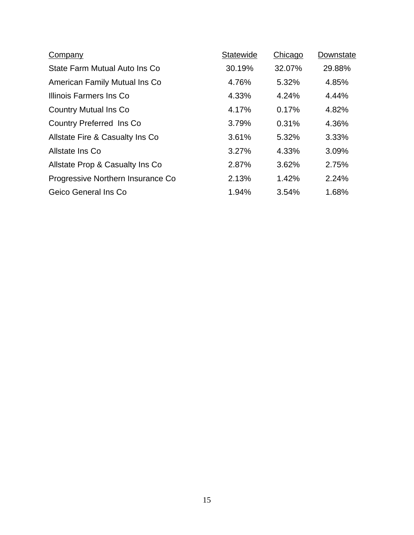| <b>Company</b>                    | Statewide | Chicago | Downstate |
|-----------------------------------|-----------|---------|-----------|
| State Farm Mutual Auto Ins Co     | 30.19%    | 32.07%  | 29.88%    |
| American Family Mutual Ins Co     | 4.76%     | 5.32%   | 4.85%     |
| Illinois Farmers Ins Co           | 4.33%     | 4.24%   | 4.44%     |
| <b>Country Mutual Ins Co</b>      | 4.17%     | 0.17%   | 4.82%     |
| Country Preferred Ins Co.         | 3.79%     | 0.31%   | 4.36%     |
| Allstate Fire & Casualty Ins Co   | 3.61%     | 5.32%   | 3.33%     |
| Allstate Ins Co                   | 3.27%     | 4.33%   | 3.09%     |
| Allstate Prop & Casualty Ins Co   | 2.87%     | 3.62%   | 2.75%     |
| Progressive Northern Insurance Co | 2.13%     | 1.42%   | 2.24%     |
| Geico General Ins Co              | 1.94%     | 3.54%   | 1.68%     |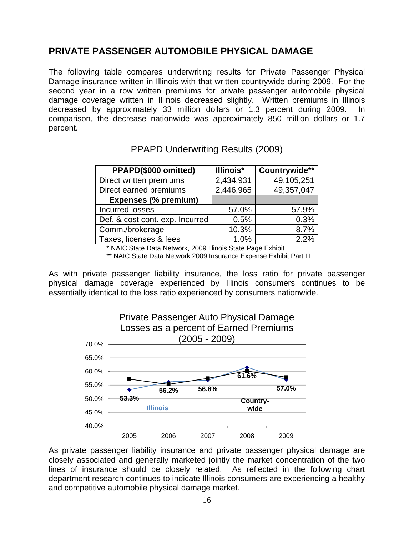# <span id="page-15-1"></span><span id="page-15-0"></span>**PRIVATE PASSENGER AUTOMOBILE PHYSICAL DAMAGE**

The following table compares underwriting results for Private Passenger Physical Damage insurance written in Illinois with that written countrywide during 2009. For the second year in a row written premiums for private passenger automobile physical damage coverage written in Illinois decreased slightly. Written premiums in Illinois decreased by approximately 33 million dollars or 1.3 percent during 2009. In comparison, the decrease nationwide was approximately 850 million dollars or 1.7 percent.

| PPAPD(\$000 omitted)            | Illinois* | Countrywide** |
|---------------------------------|-----------|---------------|
| Direct written premiums         | 2,434,931 | 49,105,251    |
| Direct earned premiums          | 2,446,965 | 49,357,047    |
| <b>Expenses (% premium)</b>     |           |               |
| <b>Incurred losses</b>          | 57.0%     | 57.9%         |
| Def. & cost cont. exp. Incurred | 0.5%      | 0.3%          |
| Comm./brokerage                 | 10.3%     | 8.7%          |
| Taxes, licenses & fees          | 1.0%      | 2.2%          |

## PPAPD Underwriting Results (2009)

\* NAIC State Data Network, 2009 Illinois State Page Exhibit

\*\* NAIC State Data Network 2009 Insurance Expense Exhibit Part III

As with private passenger liability insurance, the loss ratio for private passenger physical damage coverage experienced by Illinois consumers continues to be essentially identical to the loss ratio experienced by consumers nationwide.



As private passenger liability insurance and private passenger physical damage are closely associated and generally marketed jointly the market concentration of the two lines of insurance should be closely related. As reflected in the following chart department research continues to indicate Illinois consumers are experiencing a healthy and competitive automobile physical damage market.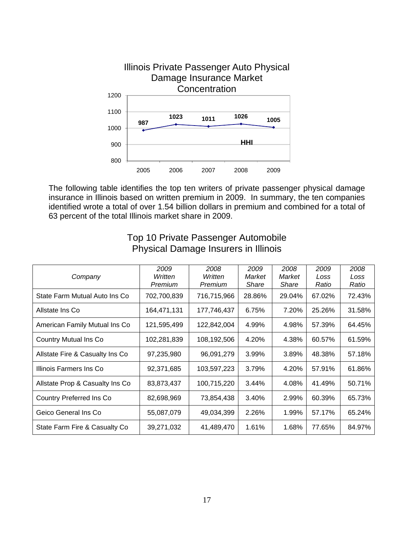

The following table identifies the top ten writers of private passenger physical damage insurance in Illinois based on written premium in 2009. In summary, the ten companies identified wrote a total of over 1.54 billion dollars in premium and combined for a total of 63 percent of the total Illinois market share in 2009.

| Company                         | 2009<br>Written<br>Premium | 2008<br>Written<br>Premium | 2009<br>Market<br><b>Share</b> | 2008<br>Market<br>Share | 2009<br>Loss<br>Ratio | 2008<br>Loss<br>Ratio |
|---------------------------------|----------------------------|----------------------------|--------------------------------|-------------------------|-----------------------|-----------------------|
| State Farm Mutual Auto Ins Co   | 702,700,839                | 716,715,966                | 28.86%                         | 29.04%                  | 67.02%                | 72.43%                |
| Allstate Ins Co                 | 164,471,131                | 177,746,437                | 6.75%                          | 7.20%                   | 25.26%                | 31.58%                |
| American Family Mutual Ins Co   | 121,595,499                | 122,842,004                | 4.99%                          | 4.98%                   | 57.39%                | 64.45%                |
| <b>Country Mutual Ins Co</b>    | 102,281,839                | 108,192,506                | 4.20%                          | 4.38%                   | 60.57%                | 61.59%                |
| Allstate Fire & Casualty Ins Co | 97,235,980                 | 96,091,279                 | 3.99%                          | 3.89%                   | 48.38%                | 57.18%                |
| Illinois Farmers Ins Co         | 92,371,685                 | 103,597,223                | 3.79%                          | 4.20%                   | 57.91%                | 61.86%                |
| Allstate Prop & Casualty Ins Co | 83,873,437                 | 100,715,220                | 3.44%                          | 4.08%                   | 41.49%                | 50.71%                |
| <b>Country Preferred Ins Co</b> | 82,698,969                 | 73,854,438                 | 3.40%                          | 2.99%                   | 60.39%                | 65.73%                |
| Geico General Ins Co            | 55,087,079                 | 49,034,399                 | 2.26%                          | 1.99%                   | 57.17%                | 65.24%                |
| State Farm Fire & Casualty Co.  | 39,271,032                 | 41,489,470                 | 1.61%                          | 1.68%                   | 77.65%                | 84.97%                |

## Top 10 Private Passenger Automobile Physical Damage Insurers in Illinois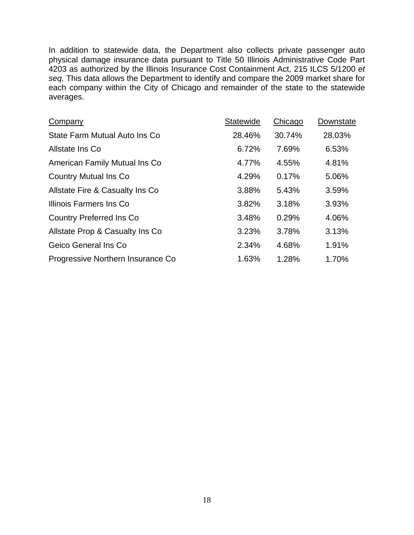In addition to statewide data, the Department also collects private passenger auto physical damage insurance data pursuant to Title 50 Illinois Administrative Code Part 4203 as authorized by the Illinois Insurance Cost Containment Act, 215 ILCS 5/1200 *et seq*. This data allows the Department to identify and compare the 2009 market share for each company within the City of Chicago and remainder of the state to the statewide averages.

| Company                            | Statewide | Chicago | Downstate |
|------------------------------------|-----------|---------|-----------|
| State Farm Mutual Auto Ins Co      | 28.46%    | 30.74%  | 28.03%    |
| Allstate Ins Co                    | 6.72%     | 7.69%   | 6.53%     |
| American Family Mutual Ins Co      | 4.77%     | 4.55%   | 4.81%     |
| <b>Country Mutual Ins Co</b>       | 4.29%     | 0.17%   | 5.06%     |
| Allstate Fire & Casualty Ins Co.   | 3.88%     | 5.43%   | 3.59%     |
| Illinois Farmers Ins Co            | 3.82%     | 3.18%   | 3.93%     |
| <b>Country Preferred Ins Co</b>    | 3.48%     | 0.29%   | 4.06%     |
| Allstate Prop & Casualty Ins Co    | 3.23%     | 3.78%   | 3.13%     |
| Geico General Ins Co               | 2.34%     | 4.68%   | 1.91%     |
| Progressive Northern Insurance Co. | 1.63%     | 1.28%   | 1.70%     |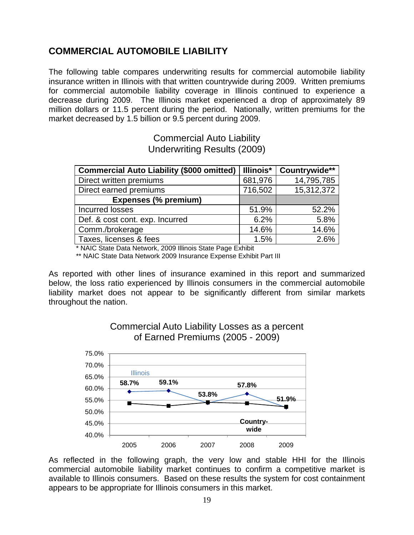# <span id="page-18-1"></span><span id="page-18-0"></span>**COMMERCIAL AUTOMOBILE LIABILITY**

The following table compares underwriting results for commercial automobile liability insurance written in Illinois with that written countrywide during 2009. Written premiums for commercial automobile liability coverage in Illinois continued to experience a decrease during 2009. The Illinois market experienced a drop of approximately 89 million dollars or 11.5 percent during the period. Nationally, written premiums for the market decreased by 1.5 billion or 9.5 percent during 2009.

> Commercial Auto Liability Underwriting Results (2009)

| <b>Commercial Auto Liability (\$000 omitted)</b> | Illinois* | Countrywide** |
|--------------------------------------------------|-----------|---------------|
| Direct written premiums                          | 681,976   | 14,795,785    |
| Direct earned premiums                           | 716,502   | 15,312,372    |
| <b>Expenses (% premium)</b>                      |           |               |
| Incurred losses                                  | 51.9%     | 52.2%         |
| Def. & cost cont. exp. Incurred                  | 6.2%      | 5.8%          |
| Comm./brokerage                                  | 14.6%     | 14.6%         |
| Taxes, licenses & fees                           | 1.5%      | 2.6%          |

\* NAIC State Data Network, 2009 Illinois State Page Exhibit

\*\* NAIC State Data Network 2009 Insurance Expense Exhibit Part III

As reported with other lines of insurance examined in this report and summarized below, the loss ratio experienced by Illinois consumers in the commercial automobile liability market does not appear to be significantly different from similar markets throughout the nation.



Commercial Auto Liability Losses as a percent of Earned Premiums (2005 - 2009)

As reflected in the following graph, the very low and stable HHI for the Illinois commercial automobile liability market continues to confirm a competitive market is available to Illinois consumers. Based on these results the system for cost containment appears to be appropriate for Illinois consumers in this market.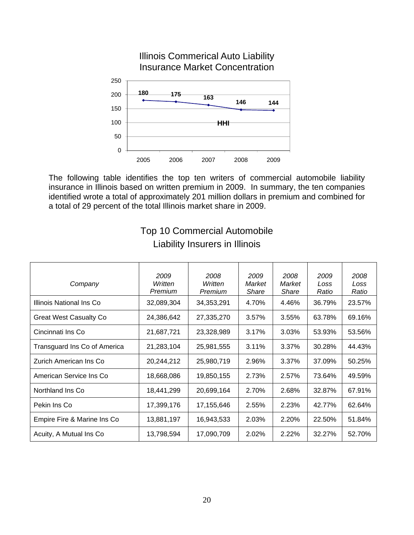

Illinois Commerical Auto Liability

The following table identifies the top ten writers of commercial automobile liability insurance in Illinois based on written premium in 2009. In summary, the ten companies identified wrote a total of approximately 201 million dollars in premium and combined for a total of 29 percent of the total Illinois market share in 2009.

| Company                       | 2009<br>Written<br>Premium | 2008<br>Written<br>Premium | 2009<br>Market<br>Share | 2008<br>Market<br><b>Share</b> | 2009<br>Loss<br>Ratio | 2008<br>Loss<br>Ratio |
|-------------------------------|----------------------------|----------------------------|-------------------------|--------------------------------|-----------------------|-----------------------|
| Illinois National Ins Co      | 32,089,304                 | 34,353,291                 | 4.70%                   | 4.46%                          | 36.79%                | 23.57%                |
| <b>Great West Casualty Co</b> | 24,386,642                 | 27,335,270                 | 3.57%                   | 3.55%                          | 63.78%                | 69.16%                |
| Cincinnati Ins Co             | 21,687,721                 | 23,328,989                 | 3.17%                   | 3.03%                          | 53.93%                | 53.56%                |
| Transguard Ins Co of America  | 21,283,104                 | 25,981,555                 | 3.11%                   | 3.37%                          | 30.28%                | 44.43%                |
| Zurich American Ins Co        | 20,244,212                 | 25,980,719                 | 2.96%                   | 3.37%                          | 37.09%                | 50.25%                |
| American Service Ins Co       | 18,668,086                 | 19,850,155                 | 2.73%                   | 2.57%                          | 73.64%                | 49.59%                |
| Northland Ins Co.             | 18,441,299                 | 20,699,164                 | 2.70%                   | 2.68%                          | 32.87%                | 67.91%                |
| Pekin Ins Co                  | 17,399,176                 | 17,155,646                 | 2.55%                   | 2.23%                          | 42.77%                | 62.64%                |
| Empire Fire & Marine Ins Co   | 13,881,197                 | 16,943,533                 | 2.03%                   | 2.20%                          | 22.50%                | 51.84%                |
| Acuity, A Mutual Ins Co.      | 13,798,594                 | 17,090,709                 | 2.02%                   | 2.22%                          | 32.27%                | 52.70%                |

# Top 10 Commercial Automobile Liability Insurers in Illinois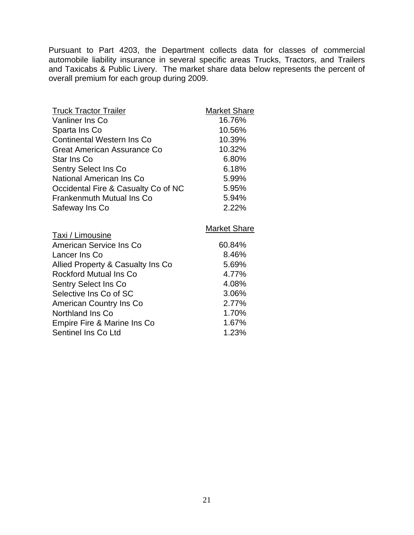Pursuant to Part 4203, the Department collects data for classes of commercial automobile liability insurance in several specific areas Trucks, Tractors, and Trailers and Taxicabs & Public Livery. The market share data below represents the percent of overall premium for each group during 2009.

| <b>Truck Tractor Trailer</b>        | Market Share        |
|-------------------------------------|---------------------|
| <b>Vanliner Ins Co</b>              | 16.76%              |
| Sparta Ins Co                       | 10.56%              |
| <b>Continental Western Ins Co</b>   | 10.39%              |
| Great American Assurance Co         | 10.32%              |
| Star Ins Co                         | 6.80%               |
| <b>Sentry Select Ins Co</b>         | 6.18%               |
| National American Ins Co            | 5.99%               |
| Occidental Fire & Casualty Co of NC | 5.95%               |
| <b>Frankenmuth Mutual Ins Co</b>    | 5.94%               |
| Safeway Ins Co                      | 2.22%               |
|                                     |                     |
|                                     |                     |
|                                     | <b>Market Share</b> |
| Taxi / Limousine                    |                     |
| American Service Ins Co             | 60.84%              |
| Lancer Ins Co                       | 8.46%               |
| Allied Property & Casualty Ins Co   | 5.69%               |
| <b>Rockford Mutual Ins Co</b>       | 4.77%               |
| <b>Sentry Select Ins Co</b>         | 4.08%               |
| Selective Ins Co of SC              | 3.06%               |
| American Country Ins Co             | 2.77%               |
| Northland Ins Co                    | 1.70%               |
| Empire Fire & Marine Ins Co         | 1.67%               |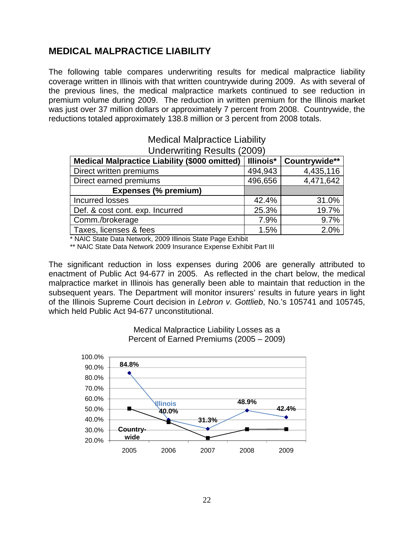# <span id="page-21-1"></span><span id="page-21-0"></span>**MEDICAL MALPRACTICE LIABILITY**

The following table compares underwriting results for medical malpractice liability coverage written in Illinois with that written countrywide during 2009. As with several of the previous lines, the medical malpractice markets continued to see reduction in premium volume during 2009. The reduction in written premium for the Illinois market was just over 37 million dollars or approximately 7 percent from 2008. Countrywide, the reductions totaled approximately 138.8 million or 3 percent from 2008 totals.

| <b>Underwriting Results (2009)</b>                   |                  |               |  |  |  |
|------------------------------------------------------|------------------|---------------|--|--|--|
| <b>Medical Malpractice Liability (\$000 omitted)</b> | <b>Illinois*</b> | Countrywide** |  |  |  |
| Direct written premiums                              | 494,943          | 4,435,116     |  |  |  |
| Direct earned premiums                               | 496,656          | 4,471,642     |  |  |  |
| <b>Expenses (% premium)</b>                          |                  |               |  |  |  |
| Incurred losses                                      | 42.4%            | 31.0%         |  |  |  |
| Def. & cost cont. exp. Incurred                      | 25.3%            | 19.7%         |  |  |  |
| Comm./brokerage                                      | 7.9%             | 9.7%          |  |  |  |
| Taxes, licenses & fees                               | 1.5%             | 2.0%          |  |  |  |

# Medical Malpractice Liability

\* NAIC State Data Network, 2009 Illinois State Page Exhibit

\*\* NAIC State Data Network 2009 Insurance Expense Exhibit Part III

The significant reduction in loss expenses during 2006 are generally attributed to enactment of Public Act 94-677 in 2005. As reflected in the chart below, the medical malpractice market in Illinois has generally been able to maintain that reduction in the subsequent years. The Department will monitor insurers' results in future years in light of the Illinois Supreme Court decision in *Lebron v. Gottlieb*, No.'s 105741 and 105745, which held Public Act 94-677 unconstitutional.



Medical Malpractice Liability Losses as a Percent of Earned Premiums (2005 – 2009)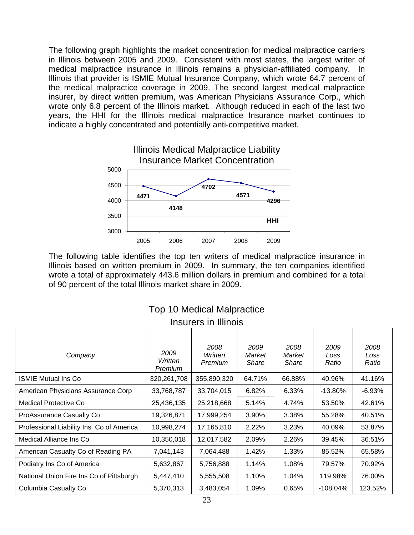The following graph highlights the market concentration for medical malpractice carriers in Illinois between 2005 and 2009. Consistent with most states, the largest writer of medical malpractice insurance in Illinois remains a physician-affiliated company. In Illinois that provider is ISMIE Mutual Insurance Company, which wrote 64.7 percent of the medical malpractice coverage in 2009. The second largest medical malpractice insurer, by direct written premium, was American Physicians Assurance Corp., which wrote only 6.8 percent of the Illinois market. Although reduced in each of the last two years, the HHI for the Illinois medical malpractice Insurance market continues to indicate a highly concentrated and potentially anti-competitive market.



The following table identifies the top ten writers of medical malpractice insurance in Illinois based on written premium in 2009. In summary, the ten companies identified wrote a total of approximately 443.6 million dollars in premium and combined for a total of 90 percent of the total Illinois market share in 2009.

| INSUREIS IN IIINOIS                      |                            |                            |                         |                         |                       |                       |
|------------------------------------------|----------------------------|----------------------------|-------------------------|-------------------------|-----------------------|-----------------------|
| Company                                  | 2009<br>Written<br>Premium | 2008<br>Written<br>Premium | 2009<br>Market<br>Share | 2008<br>Market<br>Share | 2009<br>Loss<br>Ratio | 2008<br>Loss<br>Ratio |
| <b>ISMIE Mutual Ins Co</b>               | 320,261,708                | 355,890,320                | 64.71%                  | 66.88%                  | 40.96%                | 41.16%                |
| American Physicians Assurance Corp       | 33,768,787                 | 33,704,015                 | 6.82%                   | 6.33%                   | $-13.80%$             | $-6.93%$              |
| <b>Medical Protective Co</b>             | 25,436,135                 | 25,218,668                 | 5.14%                   | 4.74%                   | 53.50%                | 42.61%                |
| ProAssurance Casualty Co                 | 19,326,871                 | 17,999,254                 | 3.90%                   | 3.38%                   | 55.28%                | 40.51%                |
| Professional Liability Ins Co of America | 10,998,274                 | 17,165,810                 | 2.22%                   | 3.23%                   | 40.09%                | 53.87%                |
| Medical Alliance Ins Co                  | 10,350,018                 | 12,017,582                 | 2.09%                   | 2.26%                   | 39.45%                | 36.51%                |
| American Casualty Co of Reading PA       | 7,041,143                  | 7,064,488                  | 1.42%                   | 1.33%                   | 85.52%                | 65.58%                |
| Podiatry Ins Co of America               | 5,632,867                  | 5,756,888                  | 1.14%                   | 1.08%                   | 79.57%                | 70.92%                |
| National Union Fire Ins Co of Pittsburgh | 5,447,410                  | 5,555,508                  | 1.10%                   | 1.04%                   | 119.98%               | 76.00%                |
| Columbia Casualty Co                     | 5,370,313                  | 3,483,054                  | 1.09%                   | 0.65%                   | $-108.04\%$           | 123.52%               |

#### Top 10 Medical Malpractice Insurers in Illinois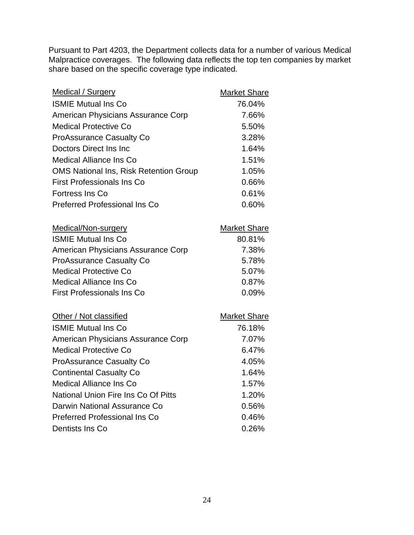Pursuant to Part 4203, the Department collects data for a number of various Medical Malpractice coverages. The following data reflects the top ten companies by market share based on the specific coverage type indicated.

| <b>Medical / Surgery</b>                      | <b>Market Share</b> |
|-----------------------------------------------|---------------------|
| <b>ISMIE Mutual Ins Co</b>                    | 76.04%              |
| American Physicians Assurance Corp            | 7.66%               |
| <b>Medical Protective Co</b>                  | 5.50%               |
| <b>ProAssurance Casualty Co</b>               | 3.28%               |
| Doctors Direct Ins Inc                        | 1.64%               |
| <b>Medical Alliance Ins Co</b>                | 1.51%               |
| <b>OMS National Ins, Risk Retention Group</b> | 1.05%               |
| <b>First Professionals Ins Co</b>             | 0.66%               |
| Fortress Ins Co                               | 0.61%               |
| <b>Preferred Professional Ins Co</b>          | 0.60%               |
| <b>Medical/Non-surgery</b>                    | <b>Market Share</b> |
| <b>ISMIE Mutual Ins Co</b>                    | 80.81%              |
| American Physicians Assurance Corp            | 7.38%               |
| <b>ProAssurance Casualty Co</b>               | 5.78%               |
| <b>Medical Protective Co</b>                  | 5.07%               |
| <b>Medical Alliance Ins Co</b>                | 0.87%               |
| <b>First Professionals Ins Co</b>             | 0.09%               |
| Other / Not classified                        | <b>Market Share</b> |
| <b>ISMIE Mutual Ins Co</b>                    | 76.18%              |
| American Physicians Assurance Corp            | 7.07%               |
| <b>Medical Protective Co</b>                  | 6.47%               |
| <b>ProAssurance Casualty Co</b>               | 4.05%               |
| <b>Continental Casualty Co</b>                | 1.64%               |
| <b>Medical Alliance Ins Co</b>                | 1.57%               |
| National Union Fire Ins Co Of Pitts           | 1.20%               |
| Darwin National Assurance Co                  | 0.56%               |
| <b>Preferred Professional Ins Co</b>          | 0.46%               |
| Dentists Ins Co                               | 0.26%               |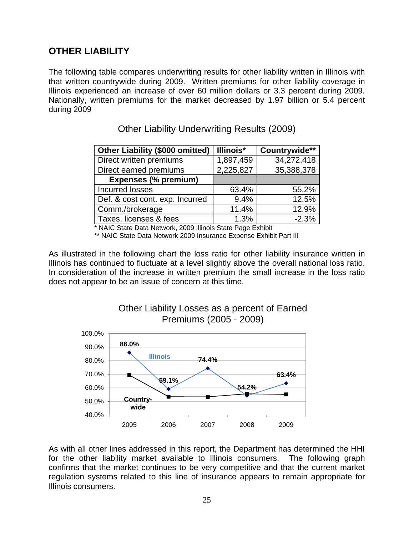# <span id="page-24-1"></span><span id="page-24-0"></span>**OTHER LIABILITY**

The following table compares underwriting results for other liability written in Illinois with that written countrywide during 2009. Written premiums for other liability coverage in Illinois experienced an increase of over 60 million dollars or 3.3 percent during 2009. Nationally, written premiums for the market decreased by 1.97 billion or 5.4 percent during 2009

| <b>Other Liability (\$000 omitted)</b> | Illinois* | Countrywide** |
|----------------------------------------|-----------|---------------|
| Direct written premiums                | 1,897,459 | 34,272,418    |
| Direct earned premiums                 | 2,225,827 | 35,388,378    |
| <b>Expenses (% premium)</b>            |           |               |
| Incurred losses                        | 63.4%     | 55.2%         |
| Def. & cost cont. exp. Incurred        | 9.4%      | 12.5%         |
| Comm./brokerage                        | 11.4%     | 12.9%         |
| Taxes, licenses & fees                 | 1.3%      | $-2.3%$       |

Other Liability Underwriting Results (2009)

\* NAIC State Data Network, 2009 Illinois State Page Exhibit

\*\* NAIC State Data Network 2009 Insurance Expense Exhibit Part III

As illustrated in the following chart the loss ratio for other liability insurance written in Illinois has continued to fluctuate at a level slightly above the overall national loss ratio. In consideration of the increase in written premium the small increase in the loss ratio does not appear to be an issue of concern at this time.



## Other Liability Losses as a percent of Earned Premiums (2005 - 2009)

As with all other lines addressed in this report, the Department has determined the HHI for the other liability market available to Illinois consumers. The following graph confirms that the market continues to be very competitive and that the current market regulation systems related to this line of insurance appears to remain appropriate for Illinois consumers.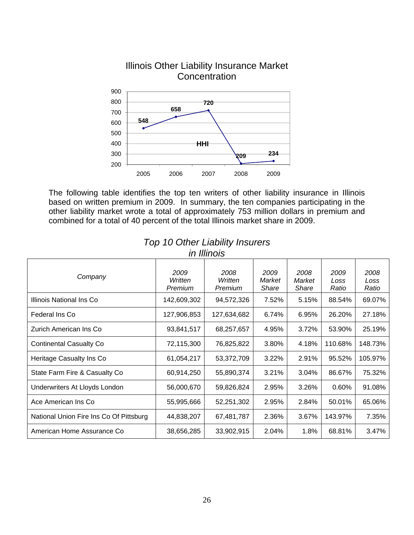

Illinois Other Liability Insurance Market

The following table identifies the top ten writers of other liability insurance in Illinois based on written premium in 2009. In summary, the ten companies participating in the other liability market wrote a total of approximately 753 million dollars in premium and combined for a total of 40 percent of the total Illinois market share in 2009.

| Company                                 | 2009<br>Written<br>Premium | 2008<br>Written<br>Premium | 2009<br>Market<br>Share | 2008<br>Market<br>Share | 2009<br>Loss<br>Ratio | 2008<br>Loss<br>Ratio |
|-----------------------------------------|----------------------------|----------------------------|-------------------------|-------------------------|-----------------------|-----------------------|
| Illinois National Ins Co                | 142,609,302                | 94,572,326                 | 7.52%                   | 5.15%                   | 88.54%                | 69.07%                |
| Federal Ins Co                          | 127,906,853                | 127,634,682                | 6.74%                   | 6.95%                   | 26.20%                | 27.18%                |
| Zurich American Ins Co                  | 93,841,517                 | 68,257,657                 | 4.95%                   | 3.72%                   | 53.90%                | 25.19%                |
| <b>Continental Casualty Co</b>          | 72,115,300                 | 76,825,822                 | 3.80%                   | 4.18%                   | 110.68%               | 148.73%               |
| Heritage Casualty Ins Co                | 61,054,217                 | 53,372,709                 | 3.22%                   | 2.91%                   | 95.52%                | 105.97%               |
| State Farm Fire & Casualty Co           | 60,914,250                 | 55,890,374                 | 3.21%                   | 3.04%                   | 86.67%                | 75.32%                |
| Underwriters At Lloyds London           | 56,000,670                 | 59,826,824                 | 2.95%                   | 3.26%                   | 0.60%                 | 91.08%                |
| Ace American Ins Co                     | 55,995,666                 | 52,251,302                 | 2.95%                   | 2.84%                   | 50.01%                | 65.06%                |
| National Union Fire Ins Co Of Pittsburg | 44,838,207                 | 67,481,787                 | 2.36%                   | 3.67%                   | 143.97%               | 7.35%                 |
| American Home Assurance Co              | 38,656,285                 | 33,902,915                 | 2.04%                   | 1.8%                    | 68.81%                | 3.47%                 |

#### *Top 10 Other Liability Insurers in Illinois*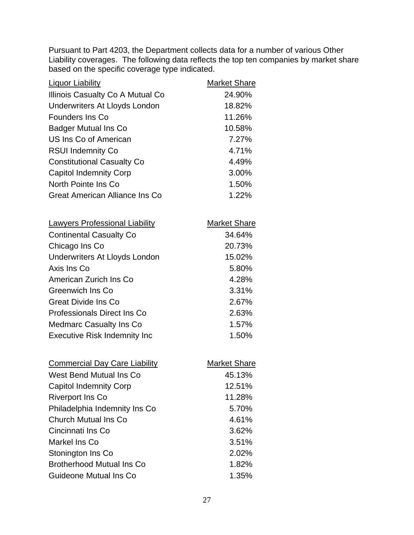Pursuant to Part 4203, the Department collects data for a number of various Other Liability coverages. The following data reflects the top ten companies by market share based on the specific coverage type indicated.

| <b>Liquor Liability</b>               | <b>Market Share</b> |
|---------------------------------------|---------------------|
| Illinois Casualty Co A Mutual Co      | 24.90%              |
| Underwriters At Lloyds London         | 18.82%              |
| <b>Founders Ins Co</b>                | 11.26%              |
| <b>Badger Mutual Ins Co</b>           | 10.58%              |
| US Ins Co of American                 | 7.27%               |
| <b>RSUI Indemnity Co</b>              | 4.71%               |
| <b>Constitutional Casualty Co</b>     | 4.49%               |
| <b>Capitol Indemnity Corp</b>         | 3.00%               |
| North Pointe Ins Co                   | 1.50%               |
| Great American Alliance Ins Co        | 1.22%               |
| <b>Lawyers Professional Liability</b> | <b>Market Share</b> |
| <b>Continental Casualty Co</b>        | 34.64%              |
| Chicago Ins Co                        | 20.73%              |
| Underwriters At Lloyds London         | 15.02%              |
| Axis Ins Co                           | 5.80%               |
| American Zurich Ins Co                | 4.28%               |
| <b>Greenwich Ins Co</b>               | 3.31%               |
| <b>Great Divide Ins Co</b>            | 2.67%               |
| <b>Professionals Direct Ins Co</b>    | 2.63%               |
| <b>Medmarc Casualty Ins Co</b>        | 1.57%               |
| <b>Executive Risk Indemnity Inc</b>   | 1.50%               |
| <b>Commercial Day Care Liability</b>  | <b>Market Share</b> |
| West Bend Mutual Ins Co               | 45.13%              |
| <b>Capitol Indemnity Corp</b>         | 12.51%              |
| <b>Riverport Ins Co</b>               | 11.28%              |
| Philadelphia Indemnity Ins Co         | 5.70%               |
| <b>Church Mutual Ins Co</b>           | 4.61%               |
| Cincinnati Ins Co                     | 3.62%               |
| Markel Ins Co                         | 3.51%               |
| Stonington Ins Co                     | 2.02%               |
| <b>Brotherhood Mutual Ins Co</b>      | 1.82%               |
| Guideone Mutual Ins Co                | 1.35%               |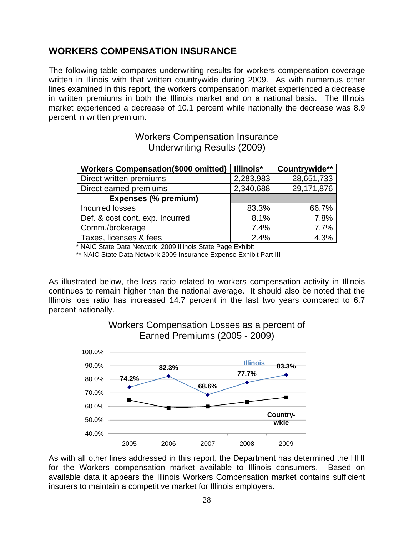# <span id="page-27-1"></span><span id="page-27-0"></span>**WORKERS COMPENSATION INSURANCE**

The following table compares underwriting results for workers compensation coverage written in Illinois with that written countrywide during 2009. As with numerous other lines examined in this report, the workers compensation market experienced a decrease in written premiums in both the Illinois market and on a national basis. The Illinois market experienced a decrease of 10.1 percent while nationally the decrease was 8.9 percent in written premium.

| <b>Workers Compensation(\$000 omitted)</b> | Illinois* | Countrywide** |
|--------------------------------------------|-----------|---------------|
| Direct written premiums                    | 2,283,983 | 28,651,733    |
| Direct earned premiums                     | 2,340,688 | 29,171,876    |
| <b>Expenses (% premium)</b>                |           |               |
| <b>Incurred losses</b>                     | 83.3%     | 66.7%         |
| Def. & cost cont. exp. Incurred            | 8.1%      | 7.8%          |
| Comm./brokerage                            | 7.4%      | 7.7%          |
| Taxes, licenses & fees                     | 2.4%      | 4.3%          |

## Workers Compensation Insurance Underwriting Results (2009)

\* NAIC State Data Network, 2009 Illinois State Page Exhibit

\*\* NAIC State Data Network 2009 Insurance Expense Exhibit Part III

As illustrated below, the loss ratio related to workers compensation activity in Illinois continues to remain higher than the national average. It should also be noted that the Illinois loss ratio has increased 14.7 percent in the last two years compared to 6.7 percent nationally.



Workers Compensation Losses as a percent of Earned Premiums (2005 - 2009)

As with all other lines addressed in this report, the Department has determined the HHI for the Workers compensation market available to Illinois consumers. Based on available data it appears the Illinois Workers Compensation market contains sufficient insurers to maintain a competitive market for Illinois employers.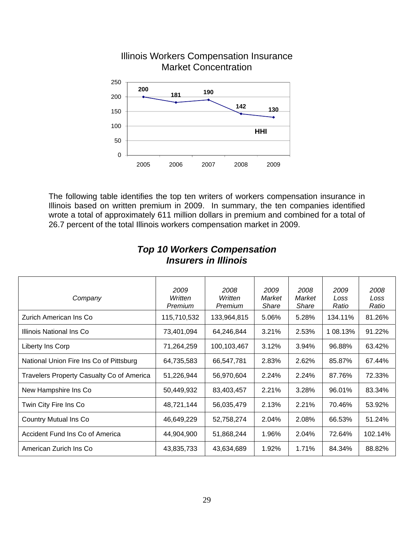

# Illinois Workers Compensation Insurance Market Concentration

The following table identifies the top ten writers of workers compensation insurance in Illinois based on written premium in 2009. In summary, the ten companies identified wrote a total of approximately 611 million dollars in premium and combined for a total of 26.7 percent of the total Illinois workers compensation market in 2009.

| Company                                   | 2009<br>Written<br>Premium | 2008<br>Written<br>Premium | 2009<br>Market<br>Share | 2008<br>Market<br><b>Share</b> | 2009<br>Loss<br>Ratio | 2008<br>Loss<br>Ratio |
|-------------------------------------------|----------------------------|----------------------------|-------------------------|--------------------------------|-----------------------|-----------------------|
| Zurich American Ins Co                    | 115,710,532                | 133,964,815                | 5.06%                   | 5.28%                          | 134.11%               | 81.26%                |
| Illinois National Ins Co                  | 73,401,094                 | 64,246,844                 | 3.21%                   | 2.53%                          | 1 08.13%              | 91.22%                |
| Liberty Ins Corp                          | 71,264,259                 | 100,103,467                | 3.12%                   | 3.94%                          | 96.88%                | 63.42%                |
| National Union Fire Ins Co of Pittsburg   | 64,735,583                 | 66,547,781                 | 2.83%                   | 2.62%                          | 85.87%                | 67.44%                |
| Travelers Property Casualty Co of America | 51,226,944                 | 56,970,604                 | 2.24%                   | 2.24%                          | 87.76%                | 72.33%                |
| New Hampshire Ins Co                      | 50,449,932                 | 83,403,457                 | 2.21%                   | 3.28%                          | 96.01%                | 83.34%                |
| Twin City Fire Ins Co                     | 48,721,144                 | 56,035,479                 | 2.13%                   | 2.21%                          | 70.46%                | 53.92%                |
| Country Mutual Ins Co                     | 46,649,229                 | 52,758,274                 | 2.04%                   | 2.08%                          | 66.53%                | 51.24%                |
| Accident Fund Ins Co of America           | 44,904,900                 | 51,868,244                 | 1.96%                   | 2.04%                          | 72.64%                | 102.14%               |
| American Zurich Ins Co                    | 43,835,733                 | 43,634,689                 | 1.92%                   | 1.71%                          | 84.34%                | 88.82%                |

## *Top 10 Workers Compensation Insurers in Illinois*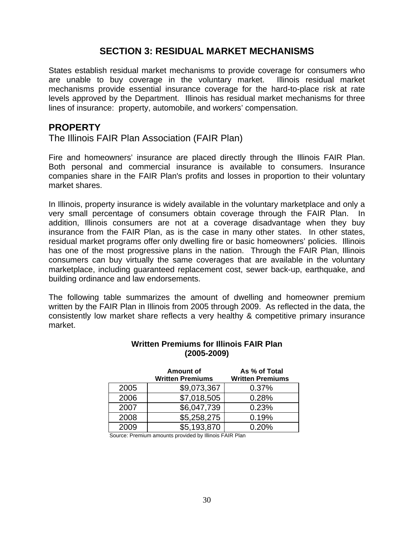# **SECTION 3: RESIDUAL MARKET MECHANISMS**

<span id="page-29-1"></span><span id="page-29-0"></span>States establish residual market mechanisms to provide coverage for consumers who are unable to buy coverage in the voluntary market. Illinois residual market mechanisms provide essential insurance coverage for the hard-to-place risk at rate levels approved by the Department. Illinois has residual market mechanisms for three lines of insurance: property, automobile, and workers' compensation.

## <span id="page-29-2"></span>**PROPERTY**

The Illinois FAIR Plan Association (FAIR Plan)

Fire and homeowners' insurance are placed directly through the Illinois FAIR Plan. Both personal and commercial insurance is available to consumers. Insurance companies share in the FAIR Plan's profits and losses in proportion to their voluntary market shares.

In Illinois, property insurance is widely available in the voluntary marketplace and only a very small percentage of consumers obtain coverage through the FAIR Plan. In addition, Illinois consumers are not at a coverage disadvantage when they buy insurance from the FAIR Plan, as is the case in many other states. In other states, residual market programs offer only dwelling fire or basic homeowners' policies. Illinois has one of the most progressive plans in the nation. Through the FAIR Plan, Illinois consumers can buy virtually the same coverages that are available in the voluntary marketplace, including guaranteed replacement cost, sewer back-up, earthquake, and building ordinance and law endorsements.

The following table summarizes the amount of dwelling and homeowner premium written by the FAIR Plan in Illinois from 2005 through 2009. As reflected in the data, the consistently low market share reflects a very healthy & competitive primary insurance market.

|      | Amount of<br><b>Written Premiums</b> | As % of Total<br><b>Written Premiums</b> |
|------|--------------------------------------|------------------------------------------|
| 2005 | \$9,073,367                          | 0.37%                                    |
| 2006 | \$7,018,505                          | 0.28%                                    |
| 2007 | \$6,047,739                          | 0.23%                                    |
| 2008 | \$5,258,275                          | 0.19%                                    |
| 2009 | \$5,193,870                          | 0.20%                                    |

#### **Written Premiums for Illinois FAIR Plan (2005-2009)**

Source: Premium amounts provided by Illinois FAIR Plan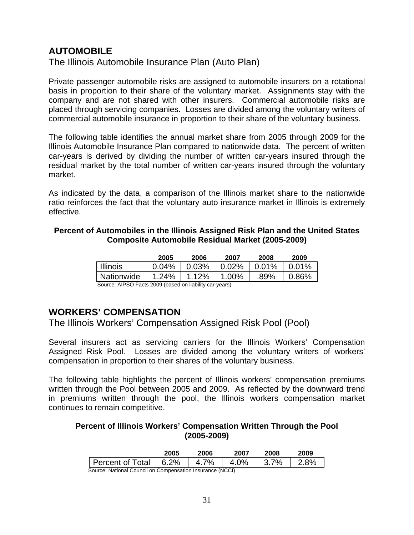# <span id="page-30-1"></span><span id="page-30-0"></span>**AUTOMOBILE**

The Illinois Automobile Insurance Plan (Auto Plan)

Private passenger automobile risks are assigned to automobile insurers on a rotational basis in proportion to their share of the voluntary market. Assignments stay with the company and are not shared with other insurers. Commercial automobile risks are placed through servicing companies. Losses are divided among the voluntary writers of commercial automobile insurance in proportion to their share of the voluntary business.

The following table identifies the annual market share from 2005 through 2009 for the Illinois Automobile Insurance Plan compared to nationwide data. The percent of written car-years is derived by dividing the number of written car-years insured through the residual market by the total number of written car-years insured through the voluntary market.

As indicated by the data, a comparison of the Illinois market share to the nationwide ratio reinforces the fact that the voluntary auto insurance market in Illinois is extremely effective.

#### **Percent of Automobiles in the Illinois Assigned Risk Plan and the United States Composite Automobile Residual Market (2005-2009)**

|                 | 2005  | 2006  | 2007  | 2008     | 2009  |
|-----------------|-------|-------|-------|----------|-------|
| <b>Illinois</b> | 0.04% | 0.03% | 0.02% | $0.01\%$ | 0.01% |
| Nationwide      | 1.24% | 1.12% | 1.00% | .89%     | 0.86% |

Source: AIPSO Facts 2009 (based on liability car-years)

## <span id="page-30-2"></span>**WORKERS' COMPENSATION**

The Illinois Workers' Compensation Assigned Risk Pool (Pool)

Several insurers act as servicing carriers for the Illinois Workers' Compensation Assigned Risk Pool. Losses are divided among the voluntary writers of workers' compensation in proportion to their shares of the voluntary business.

The following table highlights the percent of Illinois workers' compensation premiums written through the Pool between 2005 and 2009. As reflected by the downward trend in premiums written through the pool, the Illinois workers compensation market continues to remain competitive.

#### **Percent of Illinois Workers' Compensation Written Through the Pool (2005-2009)**

|                  | 2005          | 2006    | 2007 | 2008    | 2009 |
|------------------|---------------|---------|------|---------|------|
| Percent of Total | $6.2\%$<br>R. | 7%<br>Λ | ገ%   | 7%<br>≺ | 8%   |

Source: National Council on Compensation Insurance (NCCI)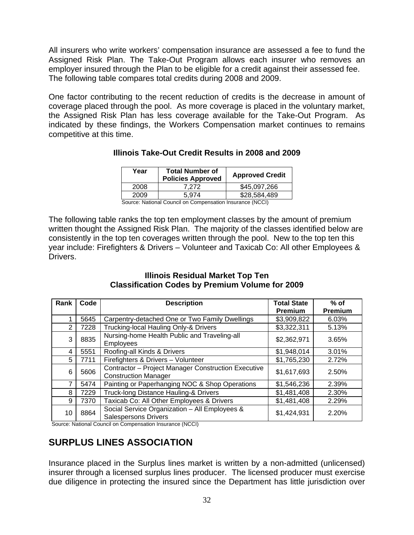<span id="page-31-0"></span>All insurers who write workers' compensation insurance are assessed a fee to fund the Assigned Risk Plan. The Take-Out Program allows each insurer who removes an employer insured through the Plan to be eligible for a credit against their assessed fee. The following table compares total credits during 2008 and 2009.

One factor contributing to the recent reduction of credits is the decrease in amount of coverage placed through the pool. As more coverage is placed in the voluntary market, the Assigned Risk Plan has less coverage available for the Take-Out Program. As indicated by these findings, the Workers Compensation market continues to remains competitive at this time.

| Year                                                      | <b>Total Number of</b><br><b>Policies Approved</b> | <b>Approved Credit</b> |  |  |  |  |  |
|-----------------------------------------------------------|----------------------------------------------------|------------------------|--|--|--|--|--|
| 2008                                                      | 7.272                                              | \$45,097,266           |  |  |  |  |  |
| 2009                                                      | 5.974                                              | \$28,584,489           |  |  |  |  |  |
| Source: National Council on Compensation Insurance (NCCI) |                                                    |                        |  |  |  |  |  |

#### **Illinois Take-Out Credit Results in 2008 and 2009**

The following table ranks the top ten employment classes by the amount of premium written thought the Assigned Risk Plan. The majority of the classes identified below are consistently in the top ten coverages written through the pool. New to the top ten this year include: Firefighters & Drivers – Volunteer and Taxicab Co: All other Employees &

#### **Illinois Residual Market Top Ten Classification Codes by Premium Volume for 2009**

| Rank | Code | <b>Description</b>                                                                 | <b>Total State</b><br><b>Premium</b> | $%$ of<br>Premium |
|------|------|------------------------------------------------------------------------------------|--------------------------------------|-------------------|
|      | 5645 | Carpentry-detached One or Two Family Dwellings                                     | \$3,909,822                          | 6.03%             |
| 2    | 7228 | Trucking-local Hauling Only-& Drivers                                              | \$3,322,311                          | 5.13%             |
| 3    | 8835 | Nursing-home Health Public and Traveling-all<br>Employees                          | \$2,362,971                          | 3.65%             |
| 4    | 5551 | Roofing-all Kinds & Drivers                                                        | \$1,948,014                          | 3.01%             |
| 5    | 7711 | Firefighters & Drivers - Volunteer                                                 | \$1,765,230                          | 2.72%             |
| 6    | 5606 | Contractor - Project Manager Construction Executive<br><b>Construction Manager</b> | \$1,617,693                          | 2.50%             |
| 7    | 5474 | Painting or Paperhanging NOC & Shop Operations                                     | \$1,546,236                          | 2.39%             |
| 8    | 7229 | Truck-long Distance Hauling-& Drivers                                              | \$1,481,408                          | 2.30%             |
| 9    | 7370 | Taxicab Co: All Other Employees & Drivers                                          | \$1,481,408                          | 2.29%             |
| 10   | 8864 | Social Service Organization - All Employees &<br><b>Salespersons Drivers</b>       | \$1,424,931                          | 2.20%             |

Source: National Council on Compensation Insurance (NCCI)

# <span id="page-31-1"></span>**SURPLUS LINES ASSOCIATION**

Drivers.

Insurance placed in the Surplus lines market is written by a non-admitted (unlicensed) insurer through a licensed surplus lines producer. The licensed producer must exercise due diligence in protecting the insured since the Department has little jurisdiction over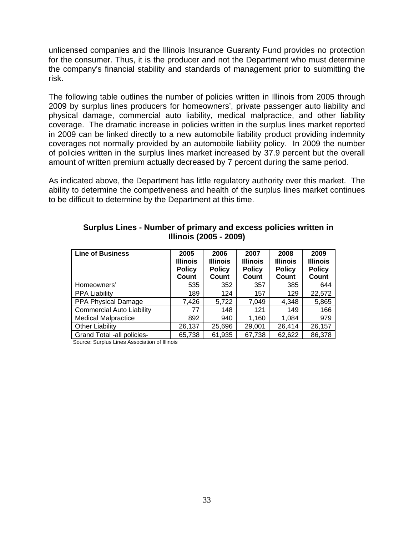unlicensed companies and the Illinois Insurance Guaranty Fund provides no protection for the consumer. Thus, it is the producer and not the Department who must determine the company's financial stability and standards of management prior to submitting the risk.

The following table outlines the number of policies written in Illinois from 2005 through 2009 by surplus lines producers for homeowners', private passenger auto liability and physical damage, commercial auto liability, medical malpractice, and other liability coverage. The dramatic increase in policies written in the surplus lines market reported in 2009 can be linked directly to a new automobile liability product providing indemnity coverages not normally provided by an automobile liability policy. In 2009 the number of policies written in the surplus lines market increased by 37.9 percent but the overall amount of written premium actually decreased by 7 percent during the same period.

As indicated above, the Department has little regulatory authority over this market. The ability to determine the competiveness and health of the surplus lines market continues to be difficult to determine by the Department at this time.

| <b>Line of Business</b>          | 2005<br><b>Illinois</b><br><b>Policy</b><br>Count | 2006<br><b>Illinois</b><br><b>Policy</b><br>Count | 2007<br><b>Illinois</b><br><b>Policy</b><br>Count | 2008<br><b>Illinois</b><br><b>Policy</b><br>Count | 2009<br><b>Illinois</b><br><b>Policy</b><br>Count |
|----------------------------------|---------------------------------------------------|---------------------------------------------------|---------------------------------------------------|---------------------------------------------------|---------------------------------------------------|
| Homeowners'                      | 535                                               | 352                                               | 357                                               | 385                                               | 644                                               |
| <b>PPA Liability</b>             | 189                                               | 124                                               | 157                                               | 129                                               | 22,572                                            |
| <b>PPA Physical Damage</b>       | 7,426                                             | 5,722                                             | 7,049                                             | 4,348                                             | 5,865                                             |
| <b>Commercial Auto Liability</b> | 77                                                | 148                                               | 121                                               | 149                                               | 166                                               |
| <b>Medical Malpractice</b>       | 892                                               | 940                                               | 1,160                                             | 1,084                                             | 979                                               |
| <b>Other Liability</b>           | 26,137                                            | 25,696                                            | 29,001                                            | 26,414                                            | 26,157                                            |
| Grand Total -all policies-       | 65,738                                            | 61,935                                            | 67,738                                            | 62,622                                            | 86,378                                            |

#### **Surplus Lines - Number of primary and excess policies written in Illinois (2005 - 2009)**

Source: Surplus Lines Association of Illinois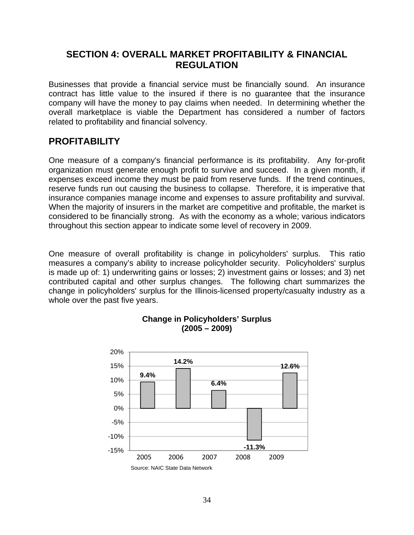# <span id="page-33-0"></span>**SECTION 4: OVERALL MARKET PROFITABILITY & FINANCIAL REGULATION**

<span id="page-33-1"></span>Businesses that provide a financial service must be financially sound. An insurance contract has little value to the insured if there is no guarantee that the insurance company will have the money to pay claims when needed. In determining whether the overall marketplace is viable the Department has considered a number of factors related to profitability and financial solvency.

# <span id="page-33-2"></span>**PROFITABILITY**

One measure of a company's financial performance is its profitability. Any for-profit organization must generate enough profit to survive and succeed. In a given month, if expenses exceed income they must be paid from reserve funds. If the trend continues, reserve funds run out causing the business to collapse. Therefore, it is imperative that insurance companies manage income and expenses to assure profitability and survival. When the majority of insurers in the market are competitive and profitable, the market is considered to be financially strong. As with the economy as a whole; various indicators throughout this section appear to indicate some level of recovery in 2009.

One measure of overall profitability is change in policyholders' surplus. This ratio measures a company's ability to increase policyholder security. Policyholders' surplus is made up of: 1) underwriting gains or losses; 2) investment gains or losses; and 3) net contributed capital and other surplus changes. The following chart summarizes the change in policyholders' surplus for the Illinois-licensed property/casualty industry as a whole over the past five years.



## **Change in Policyholders' Surplus (2005 – 2009)**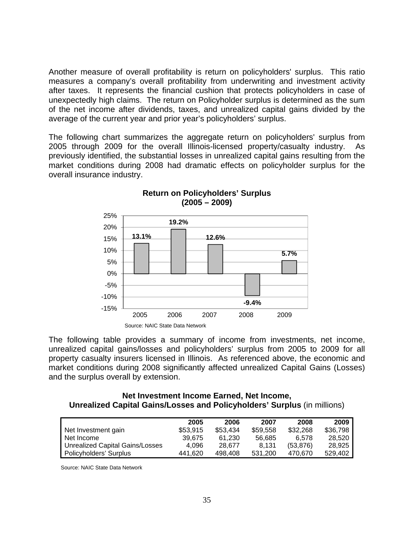Another measure of overall profitability is return on policyholders' surplus. This ratio measures a company's overall profitability from underwriting and investment activity after taxes. It represents the financial cushion that protects policyholders in case of unexpectedly high claims. The return on Policyholder surplus is determined as the sum of the net income after dividends, taxes, and unrealized capital gains divided by the average of the current year and prior year's policyholders' surplus.

The following chart summarizes the aggregate return on policyholders' surplus from 2005 through 2009 for the overall Illinois-licensed property/casualty industry. As previously identified, the substantial losses in unrealized capital gains resulting from the market conditions during 2008 had dramatic effects on policyholder surplus for the overall insurance industry.



## **Return on Policyholders' Surplus (2005 – 2009)**

The following table provides a summary of income from investments, net income, unrealized capital gains/losses and policyholders' surplus from 2005 to 2009 for all property casualty insurers licensed in Illinois. As referenced above, the economic and market conditions during 2008 significantly affected unrealized Capital Gains (Losses) and the surplus overall by extension.

#### **Net Investment Income Earned, Net Income, Unrealized Capital Gains/Losses and Policyholders' Surplus** (in millions)

|                                 | 2005     | 2006     | 2007     | 2008      | 2009     |
|---------------------------------|----------|----------|----------|-----------|----------|
| Net Investment gain             | \$53,915 | \$53,434 | \$59.558 | \$32,268  | \$36,798 |
| Net Income                      | 39.675   | 61.230   | 56.685   | 6.578     | 28.520   |
| Unrealized Capital Gains/Losses | 4.096    | 28.677   | 8.131    | (53, 876) | 28.925   |
| Policyholders' Surplus          | 441.620  | 498.408  | 531.200  | 470.670   | 529.402  |

Source: NAIC State Data Network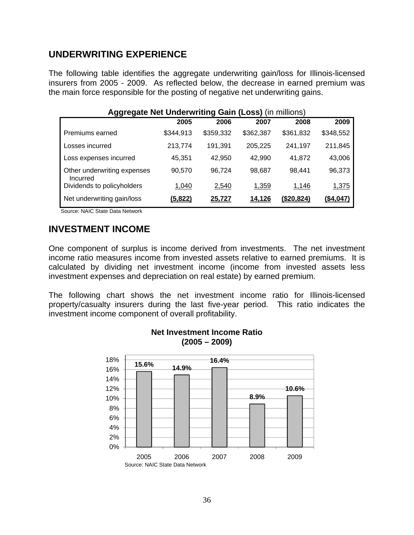# **UNDERWRITING EXPERIENCE**

The following table identifies the aggregate underwriting gain/loss for Illinois-licensed insurers from 2005 - 2009. As reflected below, the decrease in earned premium was the main force responsible for the posting of negative net underwriting gains.

| <b>Aggregate Net Underwriting Gain (Loss) (in millions)</b> |                |           |              |                   |           |  |  |  |  |  |  |
|-------------------------------------------------------------|----------------|-----------|--------------|-------------------|-----------|--|--|--|--|--|--|
|                                                             | 2005           | 2006      | 2007         | 2008              | 2009      |  |  |  |  |  |  |
| Premiums earned                                             | \$344,913      | \$359,332 | \$362,387    | \$361,832         | \$348,552 |  |  |  |  |  |  |
| Losses incurred                                             | 213,774        | 191.391   | 205,225      | 241,197           | 211,845   |  |  |  |  |  |  |
| Loss expenses incurred                                      | 45.351         | 42,950    | 42,990       | 41,872            | 43,006    |  |  |  |  |  |  |
| Other underwriting expenses<br>Incurred                     | 90,570         | 96,724    | 98,687       | 98.441            | 96,373    |  |  |  |  |  |  |
| Dividends to policyholders                                  | 1,040          | 2,540     | <u>1,359</u> | 1,146             | 1,375     |  |  |  |  |  |  |
| Net underwriting gain/loss                                  | <u>(5,822)</u> | 25.727    | 14.126       | <u>(\$20.824)</u> | (\$4.047) |  |  |  |  |  |  |

Source: NAIC State Data Network

## **INVESTMENT INCOME**

One component of surplus is income derived from investments. The net investment income ratio measures income from invested assets relative to earned premiums. It is calculated by dividing net investment income (income from invested assets less investment expenses and depreciation on real estate) by earned premium.

The following chart shows the net investment income ratio for Illinois-licensed property/casualty insurers during the last five-year period. This ratio indicates the investment income component of overall profitability.



#### **Net Investment Income Ratio (2005 – 2009)**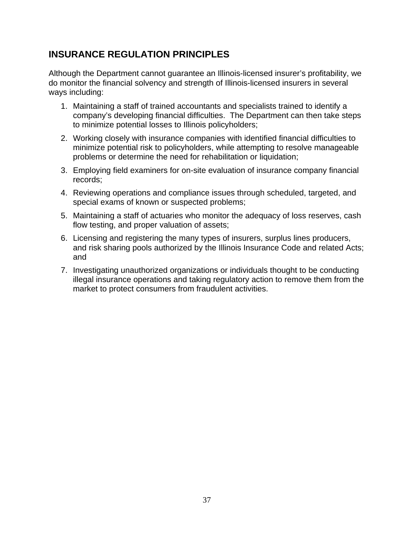# **INSURANCE REGULATION PRINCIPLES**

Although the Department cannot guarantee an Illinois-licensed insurer's profitability, we do monitor the financial solvency and strength of Illinois-licensed insurers in several ways including:

- 1. Maintaining a staff of trained accountants and specialists trained to identify a company's developing financial difficulties. The Department can then take steps to minimize potential losses to Illinois policyholders;
- 2. Working closely with insurance companies with identified financial difficulties to minimize potential risk to policyholders, while attempting to resolve manageable problems or determine the need for rehabilitation or liquidation;
- 3. Employing field examiners for on-site evaluation of insurance company financial records;
- 4. Reviewing operations and compliance issues through scheduled, targeted, and special exams of known or suspected problems;
- 5. Maintaining a staff of actuaries who monitor the adequacy of loss reserves, cash flow testing, and proper valuation of assets;
- 6. Licensing and registering the many types of insurers, surplus lines producers, and risk sharing pools authorized by the Illinois Insurance Code and related Acts; and
- 7. Investigating unauthorized organizations or individuals thought to be conducting illegal insurance operations and taking regulatory action to remove them from the market to protect consumers from fraudulent activities.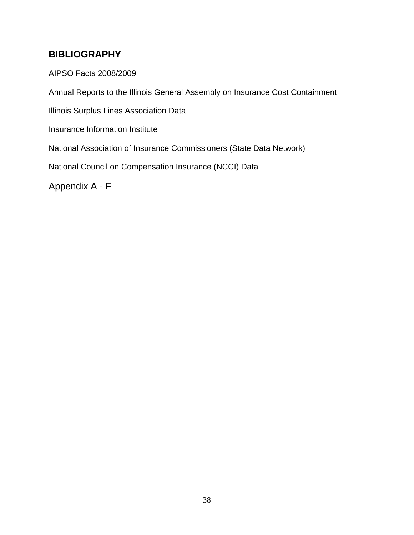# <span id="page-37-1"></span><span id="page-37-0"></span>**BIBLIOGRAPHY**

AIPSO Facts 2008/2009

Annual Reports to the Illinois General Assembly on Insurance Cost Containment

Illinois Surplus Lines Association Data

Insurance Information Institute

National Association of Insurance Commissioners (State Data Network)

National Council on Compensation Insurance (NCCI) Data

<span id="page-37-2"></span>Appendix A - F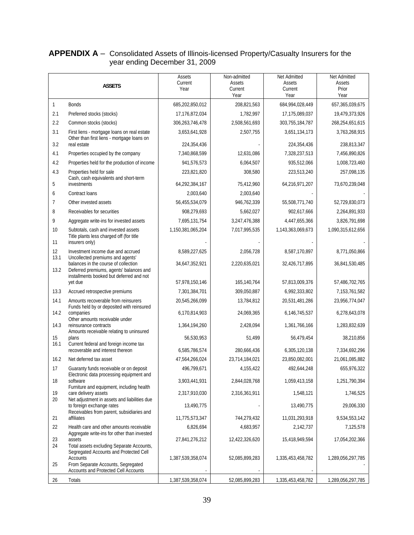#### <span id="page-38-1"></span><span id="page-38-0"></span>**APPENDIX A** – Consolidated Assets of Illinois-licensed Property/Casualty Insurers for the year ending December 31, 2009

|                | <b>ASSETS</b>                                                                                                               | Assets<br>Current<br>Year   | Non-admitted<br>Assets<br>Current<br>Year | Net Admitted<br>Assets<br>Current<br>Year | Net Admitted<br>Assets<br>Prior<br>Year |
|----------------|-----------------------------------------------------------------------------------------------------------------------------|-----------------------------|-------------------------------------------|-------------------------------------------|-----------------------------------------|
| 1              | <b>Bonds</b>                                                                                                                | 685,202,850,012             | 208,821,563                               | 684, 994, 028, 449                        | 657, 365, 039, 675                      |
| 2.1            | Preferred stocks (stocks)                                                                                                   | 17,176,872,034              | 1,782,997                                 | 17,175,089,037                            | 19,479,373,926                          |
| 2.2            | Common stocks (stocks)                                                                                                      | 306,263,746,478             | 2,508,561,693                             | 303,755,184,787                           | 268,254,651,615                         |
| 3.1            | First liens - mortgage loans on real estate<br>Other than first liens - mortgage loans on                                   | 3,653,641,928               | 2,507,755                                 | 3,651,134,173                             | 3,763,268,915                           |
| 3.2            | real estate                                                                                                                 | 224,354,436                 |                                           | 224,354,436                               | 238,813,347                             |
| 4.1            | Properties occupied by the company                                                                                          | 7,340,868,599               | 12,631,086                                | 7,328,237,513                             | 7,456,890,826                           |
| 4.2            | Properties held for the production of income                                                                                | 941,576,573                 | 6,064,507                                 | 935,512,066                               | 1,008,723,460                           |
| 4.3            | Properties held for sale<br>Cash, cash equivalents and short-term                                                           | 223,821,820                 | 308,580                                   | 223,513,240                               | 257,098,135                             |
| 5              | investments                                                                                                                 | 64,292,384,167              | 75,412,960                                | 64,216,971,207                            | 73,670,239,048                          |
| 6              | Contract loans                                                                                                              | 2,003,640                   | 2,003,640                                 |                                           |                                         |
| $\overline{7}$ | Other invested assets                                                                                                       | 56,455,534,079              | 946,762,339                               | 55,508,771,740                            | 52,729,830,073                          |
| 8              | Receivables for securities                                                                                                  | 908,279,693                 | 5,662,027                                 | 902,617,666                               | 2,264,891,933                           |
| 9              | Aggregate write-ins for invested assets                                                                                     | 7,695,131,754               | 3,247,476,388                             | 4,447,655,366                             | 3,826,791,698                           |
| 10             | Subtotals, cash and invested assets                                                                                         | 1,150,381,065,204           | 7,017,995,535                             | 1,143,363,069,673                         | 1,090,315,612,656                       |
| 11             | Title plants less charged off (for title<br>insurers only)                                                                  |                             |                                           |                                           |                                         |
| 12<br>13.1     | Investment income due and accrued<br>Uncollected premiums and agents'                                                       | 8,589,227,625               | 2,056,728                                 | 8,587,170,897                             | 8,771,050,866                           |
| 13.2           | balances in the course of collection<br>Deferred premiums, agents' balances and<br>installments booked but deferred and not | 34,647,352,921              | 2,220,635,021                             | 32,426,717,895                            | 36,841,530,485                          |
|                | yet due                                                                                                                     | 57,978,150,146              | 165,140,764                               | 57,813,009,376                            | 57,486,702,765                          |
| 13.3           | Accrued retrospective premiums                                                                                              | 7,301,384,701               | 309,050,887                               | 6,992,333,802                             | 7,153,761,582                           |
| 14.1           | Amounts recoverable from reinsurers<br>Funds held by or deposited with reinsured                                            | 20,545,266,099              | 13,784,812                                | 20,531,481,286                            | 23,956,774,047                          |
| 14.2           | companies<br>Other amounts receivable under                                                                                 | 6,170,814,903               | 24,069,365                                | 6,146,745,537                             | 6,278,643,078                           |
| 14.3<br>15     | reinsurance contracts<br>Amounts receivable relating to uninsured                                                           | 1,364,194,260<br>56,530,953 | 2,428,094<br>51,499                       | 1,361,766,166<br>56,479,454               | 1,283,832,639<br>38,210,856             |
| 16.1           | plans<br>Current federal and foreign income tax                                                                             |                             |                                           |                                           |                                         |
|                | recoverable and interest thereon                                                                                            | 6,585,786,574               | 280,666,436                               | 6,305,120,138                             | 7,334,692,296                           |
| 16.2           | Net deferred tax asset                                                                                                      | 47,564,266,024              | 23,714,184,021                            | 23,850,082,001                            | 21,061,085,882                          |
| 17             | Guaranty funds receivable or on deposit<br>Electronic data processing equipment and                                         | 496,799,671                 | 4,155,422                                 | 492,644,248                               | 655,976,322                             |
| 18             | software<br>Furniture and equipment, including health                                                                       | 3,903,441,931               | 2,844,028,768                             | 1,059,413,158                             | 1,251,790,394                           |
| 19             | care delivery assets                                                                                                        | 2,317,910,030               | 2,316,361,911                             | 1,548,121                                 | 1,746,525                               |
| 20             | Net adjustment in assets and liabilities due<br>to foreign exchange rates<br>Receivables from parent, subsidiaries and      | 13,490,775                  |                                           | 13,490,775                                | 29,006,330                              |
| 21             | affiliates                                                                                                                  | 11,775,573,347              | 744,279,432                               | 11,031,293,918                            | 9,534,553,142                           |
| 22             | Health care and other amounts receivable                                                                                    | 6,826,694                   | 4,683,957                                 | 2,142,737                                 | 7,125,578                               |
| 23             | Aggregate write-ins for other than invested<br>assets                                                                       | 27,841,276,212              | 12,422,326,620                            | 15,418,949,594                            | 17,054,202,366                          |
| 24             | Total assets excluding Separate Accounts,<br>Segregated Accounts and Protected Cell<br><b>Accounts</b>                      | 1,387,539,358,074           | 52,085,899,283                            | 1,335,453,458,782                         | 1,289,056,297,785                       |
| 25             | From Separate Accounts, Segregated<br>Accounts and Protected Cell Accounts                                                  |                             |                                           |                                           |                                         |
| 26             | Totals                                                                                                                      | 1,387,539,358,074           | 52,085,899,283                            | 1,335,453,458,782                         | 1,289,056,297,785                       |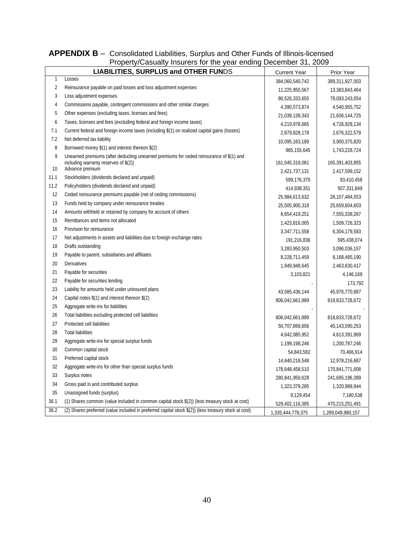#### <span id="page-39-0"></span>**APPENDIX B** – Consolidated Liabilities, Surplus and Other Funds of Illinois-licensed Property/Casualty Insurers for the year ending December 31, 2009

<span id="page-39-1"></span>

|                | The polity oddiatily induced for the year change becomponer, 2000<br><b>LIABILITIES, SURPLUS and OTHER FUNDS</b> | <b>Current Year</b> | Prior Year        |
|----------------|------------------------------------------------------------------------------------------------------------------|---------------------|-------------------|
| 1              | Losses                                                                                                           | 384,060,540,742     | 389,311,927,003   |
| $\overline{2}$ | Reinsurance payable on paid losses and loss adjustment expenses                                                  | 11,225,950,567      | 13,383,843,464    |
| 3              | Loss adjustment expenses                                                                                         | 80,526,333,655      | 79,093,243,054    |
| 4              | Commissions payable, contingent commissions and other similar charges                                            | 4,390,573,874       | 4,540,955,752     |
| 5              | Other expenses (excluding taxes, licenses and fees)                                                              | 21,039,139,343      | 21,606,144,725    |
| 6              | Taxes, licenses and fees (excluding federal and foreign income taxes)                                            | 4,219,978,665       | 4,726,928,134     |
| 7.1            | Current federal and foreign income taxes (including \$(1) on realized capital gains (losses)                     | 2,879,828,178       | 2,676,322,579     |
| 7.2            | Net deferred tax liability                                                                                       | 10,095,163,189      | 3,900,375,820     |
| 8              | Borrowed money \$(1) and interest thereon \$(2)                                                                  | 965, 155, 645       | 1,743,228,724     |
| 9              | Unearned premiums (after deducting unearned premiums for ceded reinsurance of \$(1) and                          |                     |                   |
| 10             | including warranty reserves of \$(2))<br>Advance premium                                                         | 161,045,318,081     | 165,391,403,855   |
| 11.1           | Stockholders (dividends declared and unpaid)                                                                     | 2,421,737,131       | 2,417,599,152     |
| 11.2           | Policyholders (dividends declared and unpaid)                                                                    | 599,176,370         | 93,410,458        |
| 12             | Ceded reinsurance premiums payable (net of ceding commissions)                                                   | 414,938,351         | 507,331,849       |
| 13             | Funds held by company under reinsurance treaties                                                                 | 25,984,613,632      | 28,107,484,553    |
| 14             | Amounts withheld or retained by company for account of others                                                    | 25,505,900,318      | 25,659,604,603    |
| 15             | Remittances and items not allocated                                                                              | 8,654,419,251       | 7,555,338,267     |
| 16             | Provision for reinsurance                                                                                        | 1,423,816,005       | 1,509,726,323     |
| 17             |                                                                                                                  | 3,347,711,558       | 6,304,179,583     |
| 18             | Net adjustments in assets and liabilities due to foreign exchange rates<br>Drafts outstanding                    | 191,216,836         | 595,438,074       |
| 19             |                                                                                                                  | 3,283,950,503       | 3,096,036,157     |
|                | Payable to parent, subsidiaries and affiliates                                                                   | 8,228,711,459       | 8,168,485,190     |
| 20             | Derivatives                                                                                                      | 1,949,948,645       | 2,463,630,417     |
| 21             | Payable for securities                                                                                           | 3,103,821           | 4,146,169         |
| 22             | Payable for securities lending                                                                                   |                     | 173,792           |
| 23             | Liability for amounts held under uninsured plans                                                                 | 43,585,436,144      | 45,976,770,987    |
| 24             | Capital notes \$(1) and interest thereon \$(2)                                                                   | 806,042,661,989     | 818,833,728,672   |
| 25             | Aggregate write-ins for liabilities                                                                              |                     |                   |
| 26             | Total liabilities excluding protected cell liabilities                                                           | 806,042,661,989     | 818,833,728,672   |
| 27             | Protected cell liabilities                                                                                       | 50,707,869,656      | 40,143,590,253    |
| 28             | <b>Total liabilities</b>                                                                                         | 4,642,085,952       | 4,613,391,869     |
| 29             | Aggregate write-ins for special surplus funds                                                                    | 1,199,198,246       | 1,200,787,246     |
| 30             | Common capital stock                                                                                             | 54,843,582          | 70,466,914        |
| 31             | Preferred capital stock                                                                                          | 14,640,218,548      | 12,978,216,687    |
| 32             | Aggregate write-ins for other than special surplus funds                                                         | 178,648,458,510     | 170,841,771,608   |
| 33             | Surplus notes                                                                                                    | 280,841,950,628     | 241,695,196,389   |
| 34             | Gross paid in and contributed surplus                                                                            | 1,323,379,285       | 1,320,988,944     |
| 35             | Unassigned funds (surplus)                                                                                       | 9,129,454           | 7,180,538         |
| 36.1           | (1) Shares common (value included in common capital stock \$(2)) (less treasury stock at cost)                   | 529,402,116,385     | 470,215,251,491   |
| 36.2           | (2) Shares preferred (value included in preferred capital stock \$(2)) (less treasury stock at cost)             | 1,335,444,778,375   | 1,289,048,980,157 |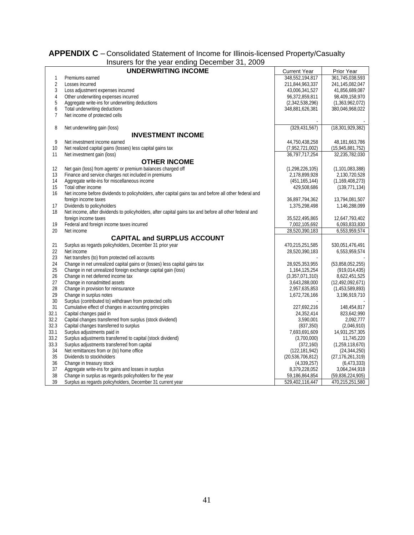#### <span id="page-40-0"></span>**APPENDIX C** – Consolidated Statement of Income for Illinois-licensed Property/Casualty Insurers for the year ending December 31, 2009

<span id="page-40-1"></span>

|                | insurers for the year ending December 31, 2009                                                         |                     |                     |  |  |  |  |  |  |  |
|----------------|--------------------------------------------------------------------------------------------------------|---------------------|---------------------|--|--|--|--|--|--|--|
|                | <b>UNDERWRITING INCOME</b>                                                                             | <b>Current Year</b> | Prior Year          |  |  |  |  |  |  |  |
| 1              | Premiums earned                                                                                        | 348,552,194,817     | 361,745,038,593     |  |  |  |  |  |  |  |
| $\overline{2}$ | Losses incurred                                                                                        | 211,844,963,337     | 241,145,082,047     |  |  |  |  |  |  |  |
| 3              | Loss adjustment expenses incurred                                                                      | 43,006,341,527      | 41,856,689,087      |  |  |  |  |  |  |  |
| 4              | Other underwriting expenses incurred                                                                   | 96,372,859,811      | 98,409,158,970      |  |  |  |  |  |  |  |
| 5              | Aggregate write-ins for underwriting deductions                                                        | (2,342,538,296)     | (1,363,962,072)     |  |  |  |  |  |  |  |
| 6              | Total underwriting deductions                                                                          | 348,881,626,381     | 380,046,968,022     |  |  |  |  |  |  |  |
| $\overline{7}$ | Net income of protected cells                                                                          |                     |                     |  |  |  |  |  |  |  |
|                |                                                                                                        |                     |                     |  |  |  |  |  |  |  |
| 8              | Net underwriting gain (loss)                                                                           | (329, 431, 567)     | (18, 301, 929, 382) |  |  |  |  |  |  |  |
|                | <b>INVESTMENT INCOME</b>                                                                               |                     |                     |  |  |  |  |  |  |  |
| 9              | Net investment income earned                                                                           | 44,750,438,258      | 48,181,663,786      |  |  |  |  |  |  |  |
| 10             | Net realized capital gains (losses) less capital gains tax                                             | (7,952,721,002)     | (15, 945, 881, 752) |  |  |  |  |  |  |  |
| 11             | Net investment gain (loss)                                                                             | 36,797,717,254      | 32,235,782,030      |  |  |  |  |  |  |  |
|                | <b>OTHER INCOME</b>                                                                                    |                     |                     |  |  |  |  |  |  |  |
| 12             | Net gain (loss) from agents' or premium balances charged off                                           | (1, 298, 226, 105)  | (1, 101, 083, 388)  |  |  |  |  |  |  |  |
| 13             | Finance and service charges not included in premiums                                                   | 2,178,899,928       | 2,130,720,528       |  |  |  |  |  |  |  |
| 14             | Aggregate write-ins for miscellaneous income                                                           | (451, 165, 144)     |                     |  |  |  |  |  |  |  |
| 15             | Total other income                                                                                     | 429,508,686         | (1, 169, 408, 273)  |  |  |  |  |  |  |  |
| 16             | Net income before dividends to policyholders, after capital gains tax and before all other federal and |                     | (139, 771, 134)     |  |  |  |  |  |  |  |
|                | foreign income taxes                                                                                   | 36,897,794,362      | 13,794,081,507      |  |  |  |  |  |  |  |
| 17             | Dividends to policyholders                                                                             | 1,375,298,498       | 1,146,288,099       |  |  |  |  |  |  |  |
| 18             | Net income, after dividends to policyholders, after capital gains tax and before all other federal and |                     |                     |  |  |  |  |  |  |  |
|                | foreign income taxes                                                                                   | 35,522,495,865      | 12,647,793,402      |  |  |  |  |  |  |  |
| 19             | Federal and foreign income taxes incurred                                                              | 7,002,105,692       | 6,093,833,830       |  |  |  |  |  |  |  |
| 20             | Net income                                                                                             | 28,520,390,183      | 6,553,959,574       |  |  |  |  |  |  |  |
|                |                                                                                                        |                     |                     |  |  |  |  |  |  |  |
|                | <b>CAPITAL and SURPLUS ACCOUNT</b>                                                                     |                     |                     |  |  |  |  |  |  |  |
| 21             | Surplus as regards policyholders, December 31 prior year                                               | 470,215,251,585     | 530,051,476,491     |  |  |  |  |  |  |  |
| 22             | Net income                                                                                             | 28,520,390,183      | 6,553,959,574       |  |  |  |  |  |  |  |
| 23             | Net transfers (to) from protected cell accounts                                                        |                     |                     |  |  |  |  |  |  |  |
| 24             | Change in net unrealized capital gains or (losses) less capital gains tax                              | 28,925,353,955      | (53,858,052,255)    |  |  |  |  |  |  |  |
| 25             | Change in net unrealized foreign exchange capital gain (loss)                                          | 1,164,125,254       | (919, 014, 435)     |  |  |  |  |  |  |  |
| 26             | Change in net deferred income tax                                                                      | (3,357,071,310)     | 8,622,451,525       |  |  |  |  |  |  |  |
| 27             | Change in nonadmitted assets                                                                           | 3,643,288,000       | (12,492,092,671)    |  |  |  |  |  |  |  |
| 28             | Change in provision for reinsurance                                                                    | 2,957,635,853       | (1,453,589,893)     |  |  |  |  |  |  |  |
| 29             | Change in surplus notes                                                                                | 1,672,726,166       | 3,196,919,710       |  |  |  |  |  |  |  |
| 30             | Surplus (contributed to) withdrawn from protected cells                                                |                     |                     |  |  |  |  |  |  |  |
| 31             | Cumulative effect of changes in accounting principles                                                  | 227,692,216         | 148,454,817         |  |  |  |  |  |  |  |
| 32.1           | Capital changes paid in                                                                                | 24,352,414          | 823,642,990         |  |  |  |  |  |  |  |
| 32.2           | Capital changes transferred from surplus (stock dividend)                                              | 3,590,001           | 2,092,777           |  |  |  |  |  |  |  |
| 32.3           | Capital changes transferred to surplus                                                                 | (837, 350)          | (2,046,910)         |  |  |  |  |  |  |  |
| 33.1           | Surplus adjustments paid in                                                                            | 7,693,691,609       | 14,931,257,305      |  |  |  |  |  |  |  |
| 33.2           | Surplus adjustments transferred to capital (stock dividend)                                            | (3,700,000)         | 11,745,220          |  |  |  |  |  |  |  |
| 33.3           | Surplus adjustments transferred from capital                                                           | (372, 160)          | (1,259,118,670)     |  |  |  |  |  |  |  |
| 34             | Net remittances from or (to) home office                                                               | (122, 181, 942)     | (24, 344, 250)      |  |  |  |  |  |  |  |
| 35             | Dividends to stockholders                                                                              | (20, 536, 706, 812) | (27, 176, 261, 319) |  |  |  |  |  |  |  |
| 36             | Change in treasury stock                                                                               | (4,339,257)         | (6, 473, 333)       |  |  |  |  |  |  |  |
| 37             | Aggregate write-ins for gains and losses in surplus                                                    | 8,379,228,052       | 3,064,244,918       |  |  |  |  |  |  |  |
| 38             | Change in surplus as regards policyholders for the year                                                | 59,186,864,854      | (59,836,224,905)    |  |  |  |  |  |  |  |
| 39             | Surplus as regards policyholders, December 31 current year                                             | 529,402,116,447     | 470,215,251,580     |  |  |  |  |  |  |  |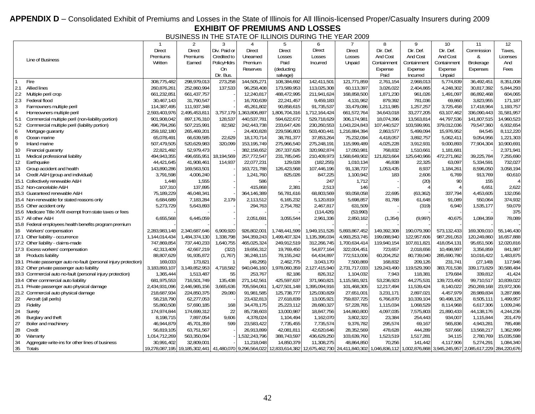## APPENDIX D - Consolidated Exhibit of Premiums and Losses in the State of Illinois for All Illinois-licensed Proper/Casualty Insurers during 2009 **EXHIBIT OF PREMIUMS AND LOSSES**

BUSINESS IN THE STATE OF ILLINOIS DURING THE YEAR 2009

<span id="page-41-1"></span><span id="page-41-0"></span>

|              |                                                                   |                           | 2                             | 3            | 4               | 5                                                                     | 6                      |                           | 8                 | 9                 | 10                                                                  | 11                      | 12                 |
|--------------|-------------------------------------------------------------------|---------------------------|-------------------------------|--------------|-----------------|-----------------------------------------------------------------------|------------------------|---------------------------|-------------------|-------------------|---------------------------------------------------------------------|-------------------------|--------------------|
|              |                                                                   | <b>Direct</b>             | <b>Direct</b>                 | Div. Paid or | <b>Direct</b>   | <b>Direct</b>                                                         | <b>Direct</b>          | <b>Direct</b>             | Dir. Def.         | Dir. Def.         | Dir. Def                                                            | Commission              | Taxes.             |
|              |                                                                   | Premiums                  | Premiums                      | Credited to  | Unearned        | Losses                                                                | Losses                 | Losses                    | And Cost          | And Cost          | And Cost                                                            | &                       | Licenses           |
|              | Line of Business                                                  | Written                   | Earned                        | PolicyHldrs  | Premium         | Paid                                                                  | Incurred               | Unpaid                    | Containment       | Containmen        | Containment                                                         | Brokerage               | And                |
|              |                                                                   |                           |                               | On           | <b>Reserves</b> | (deducting                                                            |                        |                           | Expense           | Expense           | Expense                                                             | Expenses                | Fees               |
|              |                                                                   |                           |                               | Dir. Bus.    |                 | salvage)                                                              |                        |                           | Paid              | Incurred          | Unpaid                                                              |                         |                    |
|              | Fire                                                              | 308,775,482               | 298,979,013                   | 273,258      | 144,505,271     | 108,384,692                                                           | 142,411,501            | 121,771,859               | 2,761,154         | 2,968,013         | 5,774,839                                                           | 36,492,451              | 8,351,008          |
| 2.1          | Allied lines                                                      | 260,876,261               | 252,860,994                   | 137,533      | 96,258,408      | 173,589,953                                                           | 113,025,308            | 60,113,397                | 3,026,022         | 2,404,865         | 4,248,302                                                           | 30,817,392              | 5,844,293          |
| 2.2          | Multiple peril crop                                               | 661,232,851               | 661,437,757                   |              | 12,240,817      | 488,472,995                                                           | 211,941,624            | 168,858,500               | 1,871,230         | 961,026           | 1,491,097                                                           | 86,892,468              | 604,065            |
| 2.3          | Federal flood                                                     | 30,467,143                | 31,790,547                    |              | 16,700,639      | 22,241,457                                                            | 9,459,183              | 4,131,962                 | 879,392           | 781,036           | 69,860                                                              | 3,823,955               | 171,187            |
| $\mathbf{3}$ | Farmowners multiple peril                                         | 114,387,495               | 111,937,348                   |              | 45,261,802      | 90,858,615                                                            | 91,735,537             | 33,479,086                | 1,211,985         | 1,257,257         | 3,725,458                                                           | 17,418,964              | 1,193,757          |
| $\sqrt{4}$   | Homeowners multiple peril                                         | 2,593,403,976             | 2,495,453,811                 | 3,757,179    | ,363,806,897    | 1,806,704,316                                                         | 1,712,164,424          | 661,572,764               | 34,643,018        | 33,277,205        | 63,107,462                                                          | 336,090,443             | 31,581,957         |
| 5.1          | Commercial multiple peril (non-liability portion)                 | 901,908,042               | 897,176,310                   | 128,537      | 440,537,781     | 594,622,672                                                           | 529,718,629            | 306,174,981               | 18,074,396        | 13,563,814        | 44,797,536                                                          | 141,807,515             | 14,960,523         |
| 5.2          | Commercial multiple peril (liability portion)                     | 496,784,266               | 507,215,991                   | 82,582       | 242,443,738     | 233,647,426                                                           | 230,260,553            | 1,043,224,843             | 107,440,527       | 103,599,991       | 379,012,036                                                         | 79,547,360              | 6,932,654          |
| 6            | Mortgage guaranty                                                 | 259,182,180               | 265,469,201                   |              | 24,400,828      | 229,596,803                                                           | 503,400,441            | 1,216,884,394             | 2,863,577         | 5,499,094         | 15,976,952                                                          | 84,545                  | 8,112,220          |
| $\, 8$       | Ocean marine                                                      | 65,078,491                | 66,639,585                    | 22,629       | 18,170,714      | 38,781,377                                                            | 37,853,264             | 75,232,094                | 4,418,057         | 3,892,757         | 5,062,411                                                           | 9,054,956               | 1,221,303          |
| 9            | Inland marine                                                     | 507,479,505               | 520,629,983                   | 320,099      | 153,195,749     | 275,966,540                                                           | 275,248,191            | 115,999,489               | 4,025,228         | 3,912,931         | 9,000,893                                                           | 77,904,304              | 10,900,691         |
| 10           | Financial guaranty                                                | 22,821,492                | 52,979,473                    |              | 382,158,652     | 267,337,626                                                           | 320,992,874            | 17,050,981                | 768,832           | 1,510,661         | 1,181,681                                                           |                         | 2,371,941          |
| 11           | Medical professional liability                                    | 494,943,355               | 496,655,951                   | 18,194,569   | 257,772,547     | 231,785,045                                                           | 210,409,973            | 1,568,649,902             | 121,823,664       | 125,640,966       | 472,271,862                                                         | 39,225,784              | 7,255,690          |
| 12           | Earthquake                                                        | 44,421,645                | 41,908,461                    | 114,937      | 22,077,231      | 129,028                                                               | (182, 255)             | 1,010,134                 | 46,838            | 22,325            | 63,097                                                              | 5,334,591               | 732,027            |
| 13           | Group accident and health                                         | 143,890,286               | 169,563,501                   |              | 163,721,788     | 126,423,568                                                           | 107,446,196            | 91,138,737                | 1.053.435         | 8.937             | 1,184,261                                                           | 8,596,050               | 3,058,194          |
| 14           | Credit A&H (group and individual)                                 | 3,791,598                 | 4,006,240                     |              | 1,241,760       | 825,026                                                               | 847,225                | 1,100,942                 | 183               | 2,606             | 6,769                                                               | 913,769                 | 60,610             |
|              | 15.1 Collectively renewable A&H                                   | 1.448                     | 1,555                         |              | 586             |                                                                       | 247                    | 1.712                     |                   | (20)              | 90                                                                  | 155                     | $\Delta$           |
|              | 15.2 Non-cancelable A&H                                           | 107,310                   | 137,895                       |              | 415,868         | 2,381                                                                 | 2,513                  | 146                       |                   |                   |                                                                     | 6,651                   | 2,622              |
|              | 15.3 Guaranteed renewable A&H                                     | 75,189,229                | 46,048,341                    |              | 364,146,389     | 56,781,616                                                            | 68,803,569             | 93,058,058                | 22.695            | (63, 362)         | 337.794                                                             | 4,453,605               | 132,056            |
|              | 15.4 Non-renewable for stated reasons only                        | 6,684,689                 | 7,183,284                     | 2,179        | 2,113,512       | 6,165,232                                                             | 5,120,819              | 5,698,857                 | 81.788            | 61,648            | 91,089                                                              | 550,064                 | 374,932            |
|              | 15.5 Other accident only                                          | 5,273,729                 | 5,643,893                     |              | 294,763         | 2,754,782                                                             | 2,467,817              | 631,509                   |                   | (319)             | 6.940                                                               | 1,535,177               | 59,079             |
|              | 15.6 Medicare Title XVIII exempt from state taxes or fees         |                           |                               |              |                 |                                                                       | (114, 426)             | (53,990)                  |                   |                   |                                                                     |                         | 375                |
|              | 15.7 All other A&H                                                | 6,655,568                 | 6,445,059                     |              | 2,051,691       | 3,055,544                                                             | 2,961,336              | 2,850,162                 | (1, 354)          | (9,997)           | 40,675                                                              | 1,084,359               | 78,089             |
|              | 15.8 Federal employees health benefits program premium            |                           |                               |              |                 |                                                                       |                        |                           |                   |                   |                                                                     |                         |                    |
|              | 16 Workers' compensation                                          | 2,283,983,148             | 2,340,687,646                 | 6,909,920    | 926,802,001     | 1,748,441,599                                                         | 1,949,151,526          | 5,893,867,452             | 149,392,308       | 190,079,390       | 573,132,433                                                         | 169,309,010             | 55,146,430         |
|              | 17.1 Other liability - occurrence                                 | 1,144,014,434             | 1,484,374,130                 | 1,338,798    | 344,359,243     | 1,499,407,324                                                         | 1,135,396,034          | 4,993,253,745             | 199,088,940       | 122,957,606       | 987,291,053                                                         | 120,249,860             | 16,657,888         |
|              | 17.2 Other liability - claims-made                                | 747,869,854               | 737,440,233                   | 1,640,755    | 465,025,324     | 249,912,519                                                           | 312,266,745            | 1,700,634,414             | 119,940,154       | 107,811,821       | 418,054,131                                                         | 95,651,506              | 12,020,816         |
|              | 17.3 Excess workers' compensation                                 | 42,313,409                | 42,667,219                    | (322)        | 19,656,312      | 19,769,450                                                            | 54,877,164             | 322,004,451               | 723,657           | 2,018,656         | 10,498,997                                                          | 3,356,859               | 841,987            |
| 18           | Products liability                                                | 88,807,629                | 91,935,872                    | (1,767)      | 36,248,115      | 78,155,242                                                            | 64,434,897             | 772,513,006               | 60,204,252        | 80,739,040        | 285,690,780                                                         | 10,016,422              | 1,483,875          |
|              | 19.1 Private passenger auto no-fault (personal injury protection) | 169,033                   | 173,821                       |              | (49, 295)       | 2,462,775                                                             | 3,043,170              | 7,500,869                 | 168,832           | 209,126           | 231,741                                                             | (27, 149)               | 117,946            |
|              | 19.2 Other private passenger auto liability                       | 3,183,893,107             | 3,149,852,953                 | 4,718,582    | 940,046,160     | 1,978,060,359                                                         | 2,127,415,940          | 2,731,717,033             | 129,243,490       | 119,529,390       | 383,701,538                                                         | 339,173,829             | 30,588,484         |
|              | 19.3 Commercial auto no-fault (personal injury protection)        | 1,365,444                 | 1,513,487                     | 55           | 253,767         | 82,186                                                                | 826,312                | 1,104,032                 | 7,943             | 118,381           | 179,684                                                             | 339,812                 | 41,424             |
|              | 19.4 Other commercial auto liability                              | 681,975,553               | 716,501,749                   | 135,438      | 271,142,561     | 425,597,637                                                           | 371,960,821            | 1,115,581,921             | 53,236,923        | 44,275,531        | 139,723,450                                                         | 99,710,517              | 10,839,022         |
|              | 21.1 Private passenger auto physical damage                       | 2,434,931,096             | 2,446,965,156                 | 3,665,636    | 705,594,061     | 1,427,501,148                                                         | 1,395,094,916          | 101,468,305               | 12,217,494        | 11,539,424        | 8,140,022                                                           | 250,269,168             | 23,972,306         |
|              | 21.2 Commercial auto physical damage                              | 218,687,934               | 224,850,375                   | 29,080       | 91,981,585      | 125,738,777                                                           | 125,030,829            | 27,651,001                | 3,231,171         | 2,897,021         | 4,457,979                                                           | 28,989,834              | 3,287,886          |
| 22           | Aircraft (all perils)                                             | 58,218,790                | 62,277,053                    |              | 23,432,813      | 27,618,839                                                            | 13,005,921             | 759,837,725               | 6,766,870         | 10,339,104        | 90,498,126                                                          | 8,505,111               | 1,499,957          |
|              |                                                                   |                           |                               |              |                 |                                                                       |                        |                           |                   |                   |                                                                     |                         |                    |
| 23           | Fidelity                                                          | 55,860,508<br>174,974,844 | 57,690,185<br>174,699,312     | 168<br>22    | 34,478,175      | 25,223,112                                                            | 28,680,327             | 57,228,765<br>144,860,800 | 1,115,034         | 1,068,529         | 8,114,968                                                           | 6,617,306<br>44,138,176 | 1,009,246          |
| 24           | Surety                                                            |                           |                               |              | 85,738,603      | 13,000,987                                                            | 18,847,756             |                           | 4,097,035         | 7,575,803         | 21,890,433                                                          |                         | 4,244,236          |
| 26           | Burglary and theft                                                | 8,198,715<br>46,944,879   | 7,897,054                     | 9,606<br>599 | 4,378,024       | 1,104,494<br>7,735,455                                                | 1,162,070<br>7,735,574 | 3,802,322<br>9,376,782    | 23,384<br>295,574 | 254,443<br>69,167 | 934,007<br>565,836                                                  | 1,115,844<br>4,943,281  | 201,479<br>785,498 |
| 27           | Boiler and machinery                                              |                           | 45,701,359                    |              | 23,583,422      |                                                                       |                        |                           |                   |                   |                                                                     |                         |                    |
| 28           | Credit                                                            | 56,819,105                | 63,751,567                    |              | 26,913,899      | 42,081,811                                                            | 42,620,646             | 28,352,569                | 478,628           | 444,289           | 537,666                                                             | 13,568,217              | 1,362,999          |
| 30           | Warranty                                                          | 1,014,712,269             | 563,350,094                   |              | ,532,243,796    | 388,743,597                                                           | 436,629,250            | 103,639,760               | 1,523,519         | 1,517,281         | 34,115                                                              | 2,780,769               | 15,035,598         |
| 34           | Aggregate write-ins for other lines of business                   | 30,991,402                | 32,809,001                    |              | 11,218,048      | 14,850,379                                                            | 11,308,275             | 48,864,850                | 70,256            | 141,442           | 4,117,906                                                           | 5,274,291               | 1,084,340          |
| 35           | Totals                                                            |                           | 19,278,087,195 19,185,302,441 |              |                 | 41,480,070 9,296,564,022 12,833,614,382 12,675,462,730 24,411,840,302 |                        |                           |                   |                   | 1,046,836,112 1,002,876,868 3,945,245,957 2,085,617,229 284,220,676 |                         |                    |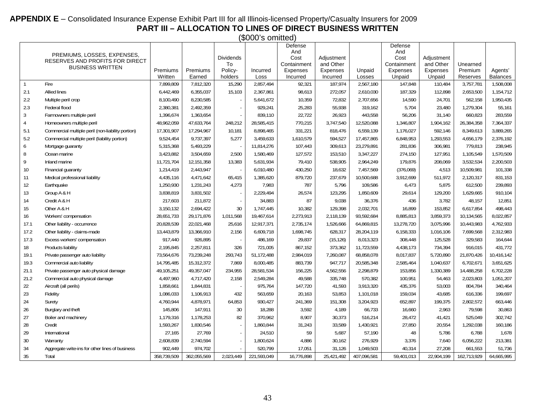#### **APPENDIX E** – Consolidated Insurance Expense Exhibit Part III for all Illinois-licensed Property/Casualty Insurers for 2009 **PART III – ALLOCATION TO LINES OF DIRECT BUSINESS WRITTEN**

(\$000's omitted)

<span id="page-42-1"></span><span id="page-42-0"></span>

|                |                                                                |                     |                    |                    |                  | Defense<br>And       |                             |                  | Defense<br>And            |                           |                     |                            |
|----------------|----------------------------------------------------------------|---------------------|--------------------|--------------------|------------------|----------------------|-----------------------------|------------------|---------------------------|---------------------------|---------------------|----------------------------|
|                | PREMIUMS, LOSSES, EXPENSES,<br>RESERVES AND PROFITS FOR DIRECT |                     |                    | <b>Dividends</b>   |                  | Cost                 | Adjustment                  |                  | Cost                      | Adjustment                |                     |                            |
|                | <b>BUSINESS WRITTEN</b>                                        |                     |                    | To                 |                  | Containment          | and Other                   |                  | Containment               | and Other                 | Unearned            |                            |
|                |                                                                | Premiums<br>Written | Premiums<br>Earned | Policy-<br>holders | Incurred<br>Loss | Expenses<br>Incurred | <b>Expenses</b><br>Incurred | Unpaid<br>Losses | <b>Expenses</b><br>Unpaid | <b>Expenses</b><br>Unpaid | Premium<br>Reserves | Agents'<br><b>Balances</b> |
| $\overline{1}$ | Fire                                                           | 7.899.809           | 7,812,320          | 15,290             | 2,857,494        | 92,321               | 187,974                     | 2,567,180        | 147,848                   | 110,484                   | 3,757,781           | 1,508,008                  |
| 2.1            | Allied lines                                                   | 6,442,469           | 6,355,037          | 15,103             | 2,367,861        | 98,613               | 272,057                     | 2,610,030        | 187,329                   | 112,898                   | 2,653,500           | 1,154,712                  |
| $2.2\,$        | Multiple peril crop                                            | 8,100,490           | 8,230,585          | $\sim$             | 5,641,672        | 10,359               | 72,832                      | 2,707,656        | 14,590                    | 24,701                    | 562,158             | 1,950,435                  |
| 2.3            | Federal flood                                                  | 2,380,381           | 2,492,359          | $\sim$             | 929,241          | 25,283               | 55,938                      | 319,162          | 5,704                     | 23,480                    | 1,279,304           | 55,161                     |
| $\mathfrak{Z}$ | Farmowners multiple peril                                      | 1,396,674           | 1,363,654          |                    | 839,110          | 22,722               | 26,923                      | 443,558          | 56,206                    | 31,140                    | 660,823             | 283,559                    |
| $\overline{4}$ | Homeowners multiple peril                                      | 48,962,059          | 47,633,764         | 248,212            | 28,585,415       | 770,215              | 3,747,540                   | 12,520,088       | 1,346,807                 | 1,904,162                 | 26,384,358          | 7,364,337                  |
| 5.1            | Commercial multiple peril (non-liability portion)              | 17,301,907          | 17,294,967         | 10,181             | 8,898,465        | 331,221              | 818,476                     | 6,559,139        | 1,176,027                 | 592,146                   | 8,349,613           | 3,889,265                  |
| 5.2            | Commercial multiple peril (liability portion)                  | 9.524.454           | 9,737,397          | 5,277              | 3,459,633        | 1,610,579            | 594,527                     | 17,457,865       | 6,848,953                 | 1,293,553                 | 4,656,179           | 2,376,192                  |
| 6              | Mortgage guaranty                                              | 5,315,368           | 5,493,229          |                    | 11,814,276       | 107,443              | 309,613                     | 23,279,891       | 281,836                   | 306,981                   | 779,813             | 238,945                    |
| 8              | Ocean marine                                                   | 3,423,882           | 3,504,659          | 2,500              | 1,580,469        | 127,572              | 153,510                     | 3,347,227        | 274,150                   | 127,951                   | 1,105,549           | 1,570,509                  |
| 9              | Inland marine                                                  | 11,721,704          | 12,151,358         | 13,383             | 5,631,934        | 79,410               | 538,905                     | 2,964,249        | 179,876                   | 208,069                   | 3,532,534           | 2,200,503                  |
| 10             | Financial quaranty                                             | 1,214,419           | 2.443.947          | $\sim$             | 6,010,480        | 430,250              | 18,632                      | 7,457,569        | (376,069)                 | 4.513                     | 10.509.981          | 101,338                    |
| 11             | Medical professional liability                                 | 4,435,116           | 4,471,642          | 65,415             | 1,385,620        | 879,720              | 237,679                     | 10,500,688       | 3,912,699                 | 511,972                   | 2,120,317           | 831,153                    |
| 12             | Earthquake                                                     | 1,250,930           | 1,231,243          | 4,273              | 7,983            | 787                  | 5,796                       | 109,586          | 6,473                     | 5,875                     | 612,500             | 239,893                    |
| 13             | Group A & H                                                    | 3,838,819           | 3,831,502          | $\sim$             | 2,229,494        | 26,574               | 123,295                     | 1,850,609        | 29,614                    | 129,200                   | 1,629,665           | 910,104                    |
| 14             | Credit A & H                                                   | 217,603             | 211,872            | $\sim$             | 34,883           | 87                   | 9,038                       | 36,376           | 436                       | 3,782                     | 48,157              | 12,851                     |
| 15             | Other A & H                                                    | 3,150,132           | 2,694,422          | 30                 | 1,747,445        | 10,382               | 129,398                     | 2,032,701        | 16,899                    | 153,852                   | 6,617,854           | 498,443                    |
| 16             | Workers' compensation                                          | 28,651,733          | 29,171,876         | 1,011,568          | 19,467,614       | 2,273,913            | 2,118,139                   | 93,592,684       | 8,885,813                 | 3,859,373                 | 10,134,565          | 8,022,857                  |
| 17.1           | Other liability - occurrence                                   | 20,828,539          | 22,021,468         | 25,616             | 12,917,371       | 2,735,174            | 1,526,666                   | 64,869,815       | 13,278,720                | 3,075,996                 | 10,443,983          | 4,762,933                  |
| 17.2           | Other liability - claims-made                                  | 13,443,879          | 13,366,910         | 2,156              | 6,609,718        | 1,698,745            | 628,317                     | 28,204,119       | 6,158,333                 | 1,016,106                 | 7,699,568           | 2,312,983                  |
| 17.3           | Excess workers' compensation                                   | 917,440             | 926,895            |                    | 486,169          | 29,837               | (15, 126)                   | 8,013,323        | 308,448                   | 125,528                   | 329,583             | 164,644                    |
| 18             | Products liability                                             | 2,195,845           | 2,257,811          | 326                | 721,005          | 867,152              | 373,362                     | 11,723,559       | 4,438,173                 | 734,394                   | 916,015             | 431,772                    |
| 19.1           | Private passenger auto liability                               | 73,564,676          | 73,239,248         | 293,743            | 51,172,488       | 2,984,019            | 7,260,087                   | 68,858,078       | 8,017,837                 | 5,720,890                 | 21,870,426          | 10,416,142                 |
| 19.3           | Commercial auto liability                                      | 14,795,485          | 15,312,372         | 7,869              | 8,000,485        | 883,739              | 947,717                     | 20,585,348       | 2,585,464                 | 1,040,637                 | 6,702,671           | 3,651,625                  |
| 21.1           | Private passenger auto physical damage                         | 49,105,251          | 49,357,047         | 234,955            | 28,581,534       | 156,225              | 4,562,556                   | 2,298,879        | 153,856                   | 1,330,389                 | 14,488,258          | 6,702,228                  |
| 21.2           | Commercial auto physical damage                                | 4.497.960           | 4,717,420          | 2,158              | 2,549,284        | 49,588               | 335,748                     | 570,382          | 100,951                   | 54,463                    | 2,023,803           | 1,051,207                  |
| 22             | Aircraft (all perils)                                          | 1,858,661           | 1,844,831          |                    | 975,764          | 147,720              | 41,593                      | 3,913,320        | 435,376                   | 53,003                    | 804,784             | 340,464                    |
| 23             | Fidelity                                                       | 1,086,033           | 1,106,913          | 432                | 563,659          | 20,163               | 53,853                      | 1,101,018        | 159,034                   | 43.685                    | 616,336             | 199,697                    |
| 24             | Surety                                                         | 4,760,944           | 4,878,971          | 64,853             | 930,427          | 241,369              | 151,308                     | 3,204,923        | 652,897                   | 199,375                   | 2,802,572           | 663,446                    |
| 26             | Burglary and theft                                             | 145,806             | 147,911            | 30                 | 18,288           | 3,592                | 4,189                       | 66,733           | 16,660                    | 2,963                     | 79,598              | 30,863                     |
| 27             | Boiler and machinery                                           | 1,179,316           | 1,178,253          | 82                 | 370,962          | 8,907                | 30,373                      | 516,214          | 28,472                    | 41,421                    | 525,049             | 302,742                    |
| 28             | Credit                                                         | 1,593,267           | 1,830,546          | $\sim$             | 1,860,844        | 31,243               | 33,589                      | 1,430,921        | 27,850                    | 20,554                    | 1,292,038           | 160,186                    |
| 29             | International                                                  | 27,165              | 27,769             | $\sim$             | 24,510           | 59                   | 5,687                       | 57,190           | 48                        | 5,786                     | 6,788               | 1,678                      |
| $30\,$         | Warranty                                                       | 2,608,839           | 2,740,594          | $\sim$             | 1,800,624        | 4,886                | 30,162                      | 276,929          | 3,376                     | 7,640                     | 6,056,222           | 213,381                    |
| 34             | Aggregate write-ins for other lines of business                | 902,449             | 974,702            |                    | 520,799          | 17,051               | 31,126                      | 1,049,503        | 40,314                    | 27,208                    | 661,553             | 51,736                     |
| 35             | Total                                                          | 358,739,509         | 362,055,569        | 2,023,449          | 221,593,049      | 16,776,898           | 25,421,492                  | 407,096,581      | 59,401,013                | 22,904,199                | 162,713,929         | 64,665,995                 |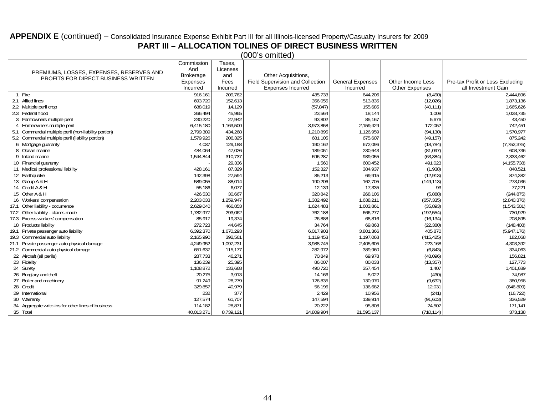#### **APPENDIX E** (continued) – Consolidated Insurance Expense Exhibit Part III for all Illinois-licensed Property/Casualty Insurers for 2009

# **PART III – ALLOCATION TOLINES OF DIRECT BUSINESS WRITTEN**

(000's omitted)

|                                                                                        |                                                       | Commission       | Taxes,    |                                  |                         |                       |                                  |
|----------------------------------------------------------------------------------------|-------------------------------------------------------|------------------|-----------|----------------------------------|-------------------------|-----------------------|----------------------------------|
|                                                                                        |                                                       | And              | Licenses  |                                  |                         |                       |                                  |
| PREMIUMS, LOSSES, EXPENSES, RESERVES AND<br><b>PROFITS FOR DIRECT BUSINESS WRITTEN</b> |                                                       | <b>Brokerage</b> | and       | Other Acquisitions,              |                         |                       |                                  |
|                                                                                        |                                                       | Expenses         | Fees      | Field Supervision and Collection | <b>General Expenses</b> | Other Income Less     | Pre-tax Profit or Loss Excluding |
|                                                                                        |                                                       | Incurred         | Incurred  | <b>Expenses Incurred</b>         | Incurred                | <b>Other Expenses</b> | all Investment Gain              |
|                                                                                        | Fire                                                  | 916,161          | 209,762   | 435,733                          | 644,206                 | (8, 490)              | 2,444,896                        |
|                                                                                        | 2.1 Allied lines                                      | 693,720          | 152,613   | 356,055                          | 513,835                 | (12,026)              | 1,873,136                        |
|                                                                                        | 2.2 Multiple peril crop                               | 688.019          | 14,129    | (57, 847)                        | 155,685                 | (40, 111)             | 1,665,626                        |
|                                                                                        | 2.3 Federal flood                                     | 366,494          | 45,965    | 23,564                           | 18,144                  | 1,008                 | 1,028,735                        |
|                                                                                        | 3 Farmowners multiple peril                           | 230,220          | 27,942    | 93,802                           | 85,167                  | 5,676                 | 43,450                           |
| 4                                                                                      | Homeowners multiple peril                             | 6,415,180        | 1,163,500 | 3,973,858                        | 2,159,429               | 172,052               | 742,451                          |
|                                                                                        | 5.1 Commercial multiple peril (non-liability portion) | 2,799,389        | 434,268   | 1,210,895                        | 1,126,959               | (94, 130)             | 1,570,977                        |
|                                                                                        | 5.2 Commercial multiple peril (liability portion)     | 1,579,926        | 206,325   | 681,105                          | 675,607                 | (49, 157)             | 875,242                          |
|                                                                                        | 6 Mortgage guaranty                                   | 4,037            | 129,188   | 190,162                          | 672,096                 | (18, 784)             | (7, 752, 375)                    |
|                                                                                        | 8 Ocean marine                                        | 484,064          | 47,026    | 189,051                          | 230,643                 | (81,097)              | 608,736                          |
|                                                                                        | 9 Inland marine                                       | 1,544,844        | 310,737   | 696,287                          | 939,055                 | (63, 384)             | 2,333,462                        |
|                                                                                        | 10 Financial quaranty                                 |                  | 29,336    | 1,560                            | 600,452                 | 491,023               | (4, 155, 738)                    |
|                                                                                        | 11 Medical professional liability                     | 428,161          | 87,329    | 152,327                          | 384,937                 | (1,938)               | 848,521                          |
|                                                                                        | 12 Earthquake                                         | 142,398          | 27,594    | 85,213                           | 69,915                  | (12, 913)             | 874,382                          |
|                                                                                        | 13 Group A & H                                        | 589,055          | 88,014    | 190,206                          | 162,705                 | (149, 113)            | 273,036                          |
|                                                                                        | 14 Credit A & H                                       | 55,186           | 6,077     | 12,139                           | 17,335                  | 93                    | 77,221                           |
|                                                                                        | 15 Other A & H                                        | 426,530          | 30,667    | 320,842                          | 268,106                 | (5,888)               | (244, 875)                       |
|                                                                                        | 16 Workers' compensation                              | 2,203,033        | 1,259,947 | 1,382,492                        | 1,638,211               | (657, 335)            | (2,840,376)                      |
|                                                                                        | 17.1 Other liability - occurrence                     | 2,629,040        | 466,853   | 1,624,483                        | 1,603,861               | (35, 893)             | (1,543,501)                      |
|                                                                                        | 17.2 Other liability - claims-made                    | 1,782,977        | 293,062   | 762,188                          | 666,277                 | (192, 554)            | 730,929                          |
|                                                                                        | 17.3 Excess workers' compensation                     | 85.917           | 19,374    | 26,888                           | 68,816                  | (16, 134)             | 208,895                          |
|                                                                                        | 18 Products liability                                 | 272,723          | 44,645    | 34,764                           | 69,863                  | (22, 380)             | (148, 408)                       |
|                                                                                        | 19.1 Private passenger auto liability                 | 6,392,370        | 1,670,293 | 6,017,903                        | 3,801,366               | 405,870               | (5,947,176)                      |
|                                                                                        | 19.3 Commercial auto liability                        | 2,165,990        | 392,561   | 1,119,453                        | 1,197,068               | (415, 425)            | 182,068                          |
| 21.1                                                                                   | Private passenger auto physical damage                | 4,249,952        | 1,097,231 | 3,988,745                        | 2,405,605               | 223,168               | 4,303,392                        |
|                                                                                        | 21.2 Commercial auto physical damage                  | 651,637          | 115,177   | 282,972                          | 389,960                 | (6, 843)              | 334,063                          |
|                                                                                        | 22 Aircraft (all perils)                              | 287.733          | 46,271    | 70,849                           | 69,978                  | (48,096)              | 156,821                          |
|                                                                                        | 23 Fidelity                                           | 136,239          | 25,395    | 86,007                           | 80,033                  | (13, 357)             | 127,773                          |
|                                                                                        | 24 Surety                                             | 1,108,872        | 133,668   | 490,720                          | 357,454                 | 1,407                 | 1,401,689                        |
|                                                                                        | 26 Burglary and theft                                 | 20,275           | 3,913     | 14,166                           | 8,022                   | (430)                 | 74,987                           |
|                                                                                        | 27 Boiler and machinery                               | 91,249           | 28,279    | 126,835                          | 130,970                 | (9,632)               | 380,958                          |
|                                                                                        | 28 Credit                                             | 329,857          | 40,979    | 56,196                           | 136,682                 | 12,031                | (646, 809)                       |
|                                                                                        | 29 International                                      | 232              | 377       | 2,429                            | 10,956                  | (241)                 | (16, 722)                        |
|                                                                                        | 30 Warranty                                           | 127,574          | 61,707    | 147,594                          | 139,914                 | (91,603)              | 336,529                          |
|                                                                                        | 34 Aggregate write-ins for other lines of business    | 114,182          | 28,871    | 20,222                           | 95,808                  | 24,507                | 171,141                          |
|                                                                                        | 35 Total                                              | 40,013,271       | 8,739,121 | 24,809,904                       | 21,595,137              | (710, 114)            | 373,138                          |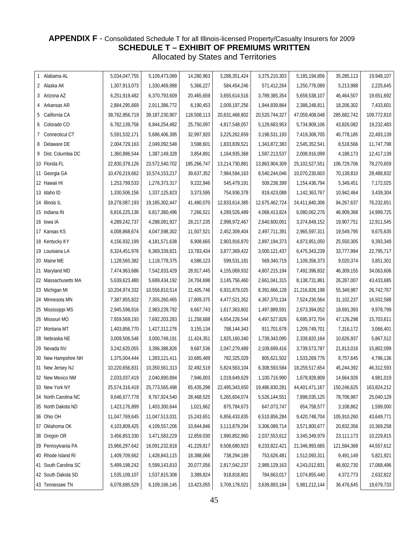#### <span id="page-44-1"></span><span id="page-44-0"></span>**APPENDIX F** - Consolidated Schedule T for all Illinois-licensed Property/Casualty Insurers for 2009 **SCHEDULE T – EXHIBIT OF PREMIUMS WRITTEN** Allocated by States and Territories

| 1 Alabama AL         | 5,034,047,755  | 5,109,473,089    | 14,280,963  | 3,288,351,424  | 3,375,210,303  | 5,185,194,856  | 35,285,113  | 19,948,107  |
|----------------------|----------------|------------------|-------------|----------------|----------------|----------------|-------------|-------------|
| 2 Alaska AK          | 1,307,913,073  | 1,330,469,988    | 5,366,227   | 584,454,246    | 571,412,264    | 1,250,776,089  | 5,213,988   | 2,225,645   |
| 3 Arizona AZ         | 6,251,919,482  | 6,370,793,609    | 20,465,659  | 3,655,614,516  | 3,789,385,354  | 5,659,538,107  | 46,464,507  | 19,651,692  |
| 4 Arkansas AR        | 2,884,295,669  | 2,911,386,772    | 6,190,453   | 2,009,197,256  | 1,944,839,864  | 2,388,248,811  | 18,206,302  | 7,433,601   |
| 5 California CA      | 38,762,856,719 | 39,187,230,907   | 118,508,113 | 20,631,468,802 | 20,520,744,327 | 47,059,408,048 | 285,682,742 | 109,772,810 |
| 6 Colorado CO        | 6,782,139,756  | 6,844,254,482    | 25,750,097  | 4,817,548,057  | 5,129,683,953  | 5,734,909,106  | 43,826,082  | 19,232,483  |
| 7 Connecticut CT     | 5,591,532,171  | 5,686,406,395    | 32,997,920  | 3,225,262,659  | 3,198,531,193  | 7,419,308,705  | 40,778,185  | 22,493,139  |
| 8 Delaware DE        | 2,004,729,163  | 2,049,092,548    | 3,598,601   | 1,833,839,521  | 1,343,872,383  | 2,545,352,541  | 8,518,566   | 11,747,798  |
| 9 Dist. Columbia DC  | 1,360,886,544  | 1,387,149,328    | 3,854,891   | 1,164,935,368  | 1,587,213,537  | 2,008,916,099  | 4,188,173   | 12,417,139  |
| 10 Florida FL        | 22,830,379,126 | 23,572,540,702   | 185,266,747 | 13,214,730,881 | 13,863,904,309 | 25,102,527,551 | 106,729,706 | 78,270,659  |
| 11 Georgia GA        | 10,476,219,662 | 10,574,153,217   | 39,637,352  | 7,984,594,163  | 8,540,244,046  | 10,070,230,603 | 70,139,810  | 28,488,832  |
| 12 Hawaii HI         | 1,253,799,533  | 1,276,373,317    | 9,222,946   | 545,479,191    | 509,238,399    | 1,154,436,794  | 5,349,451   | 7,172,025   |
| 13 Idaho ID          | 1,330,506,156  | 1,337,125,823    | 3,373,595   | 754,936,378    | 819,423,088    | 1,142,363,767  | 10,942,464  | 3,439,304   |
| 14 Illinois IL       | 19,278,087,193 | 19,185,302,447   | 41,480,070  | 12,833,614,385 | 12,675,462,724 | 24,411,840,306 | 94,267,637  | 76,232,651  |
| 15 Indiana IN        | 6,816,225,136  | 6,817,380,496    | 7,266,521   | 4,289,526,489  | 4,068,413,824  | 6,080,062,276  | 46,909,368  | 14,999,725  |
| 16 Iowa IA           | 4,289,242,737  | 4,288,081,927    | 28,217,235  | 2,998,972,467  | 2,640,600,001  | 3,374,849,152  | 19,907,751  | 12,911,545  |
| 17 Kansas KS         | 4,008,868,674  | 4,047,598,302    | 11,507,521  | 2,452,309,404  | 2,497,711,391  | 2,965,597,311  | 19,549,795  | 9,675,635   |
| 18 Kentucky KY       | 4,156,932,199  | 4, 181, 571, 638 | 6,908,665   | 2,903,916,870  | 2,897,194,373  | 4,873,951,050  | 25,550,305  | 9,393,349   |
| 19 Louisiana LA      | 6,324,451,976  | 6,369,339,821    | 13,783,434  | 3,877,369,422  | 3,000,121,437  | 6,475,343,239  | 33,777,994  | 22,795,717  |
| 20 Maine ME          | 1,128,565,382  | 1,118,778,375    | 4,586,123   | 599,531,181    | 569,340,719    | 1,109,356,373  | 9,020,374   | 3,851,301   |
| 21 Maryland MD       | 7,474,963,686  | 7,542,833,429    | 28,917,445  | 4,155,069,932  | 4,807,215,194  | 7,492,396,832  | 46,309,155  | 34,063,606  |
| 22 Massachusetts MA  | 5,639,623,480  | 5,689,434,192    | 24,704,698  | 3,145,756,460  | 2,661,041,315  | 8,138,731,861  | 26,287,007  | 43,433,685  |
| 23 Michigan MI       | 10,204,974,332 | 10,556,810,514   | 21,405,746  | 6,931,879,025  | 8,391,666,128  | 21,216,826,198 | 55,349,987  | 26,742,767  |
| 24 Minnesota MN      | 7,387,855,822  | 7,355,260,465    | 17,809,375  | 4,477,521,352  | 4,367,370,134  | 7,524,230,564  | 31,102,237  | 16,502,588  |
| 25 Mississippi MS    | 2,945,598,816  | 2,983,239,792    | 6,667,743   | 1,617,363,802  | 1,497,889,591  | 2,673,394,052  | 18,691,393  | 9,978,799   |
| 26 Missouri MO       | 7,659,569,193  | 7,692,203,283    | 11,258,688  | 4,654,226,544  | 4,497,527,826  | 6,695,972,704  | 47,126,298  | 15,703,611  |
| 27 Montana MT        | 1,403,856,770  | 1,427,312,276    | 3,155,134   | 788,144,343    | 911,701,678    | 1,209,749,701  | 7,316,172   | 3,066,401   |
| 28 Nebraska NE       | 3,009,506,546  | 3,000,749,191    | 11,424,351  | 1,825,160,340  | 1,739,343,095  | 2,339,820,164  | 10,626,937  | 5,867,512   |
| 29 Nevada NV         | 3,242,620,055  | 3,396,388,826    | 9,687,536   | 2,047,279,489  | 2,109,699,416  | 3,739,573,787  | 21,813,016  | 15,802,099  |
| 30 New Hampshire NH  | 1,375,004,444  | 1,393,121,411    | 10,685,489  | 782,325,029    | 805,621,502    | 1,533,269,776  | 8,757,645   | 4,796,136   |
| 31 New Jersey NJ     | 10,220,656,831 | 10,350,561,313   | 32,492,519  | 5,824,563,104  | 6,308,593,584  | 18,259,517,654 | 45,244,392  | 46,312,593  |
| 32 New Mexico NM     | 2,033,037,419  | 2,040,890,894    | 7,946,003   | 1,019,649,629  | 1,100,716,990  | 1,678,928,809  | 14,664,926  | 4,981,019   |
| 33 New York NY       | 25,574,316,419 | 25,773,565,498   | 65,435,298  | 22,495,343,650 | 19,486,830,281 | 44,401,471,167 | 150,246,625 | 163,824,212 |
| 34 North Carolina NC | 9,646,677,778  | 9,767,924,540    | 28,468,525  | 5,265,604,074  | 5,526,144,551  | 7,898,035,125  | 78,706,987  | 25,040,129  |
| 35 North Dakota ND   | 1,423,176,899  | 1,403,300,644    | 1,021,662   | 875,784,673    | 647,073,747    | 654,758,577    | 3,108,862   | 1,599,000   |
| 36 Ohio OH           | 11,047,769,645 | 11,047,513,031   | 15,243,651  | 6,856,433,835  | 6,510,856,284  | 9,420,748,704  | 105,910,260 | 43,649,771  |
| 37 Oklahoma OK       | 4,103,809,425  | 4,109,557,206    | 10,844,846  | 3,113,879,294  | 3,306,089,714  | 3,571,800,677  | 20,832,356  | 10,369,258  |
| 38 Oregon OR         | 3,456,853,330  | 3,471,583,229    | 12,859,030  | 1,990,852,960  | 2,037,553,612  | 3,345,349,979  | 23,111,173  | 10,229,815  |
| 39 Pennsylvania PA   | 15,966,297,642 | 16,091,232,818   | 41,229,817  | 9,508,680,923  | 9,233,822,421  | 21,346,993,665 | 121,584,368 | 44,557,612  |
| 40 Rhode Island RI   | 1,409,709,662  | 1,428,843,115    | 18,388,066  | 738,294,189    | 753,626,481    | 1,512,093,311  | 9,491,149   | 5,821,921   |
| 41 South Carolina SC | 5,499,198,242  | 5,599,143,810    | 20,077,056  | 2,817,042,237  | 2,989,129,163  | 4,243,012,831  | 46,602,730  | 17,068,496  |
| 42 South Dakota SD   | 1,535,109,107  | 1,537,815,308    | 3,389,824   | 918,818,801    | 784,663,017    | 1,074,855,440  | 4,372,773   | 2,632,822   |
| 43 Tennessee TN      | 6,078,685,529  | 6,109,166,145    | 13,423,055  | 3,709,178,021  | 3,639,893,184  | 5,981,212,144  | 36,476,645  | 19,679,733  |